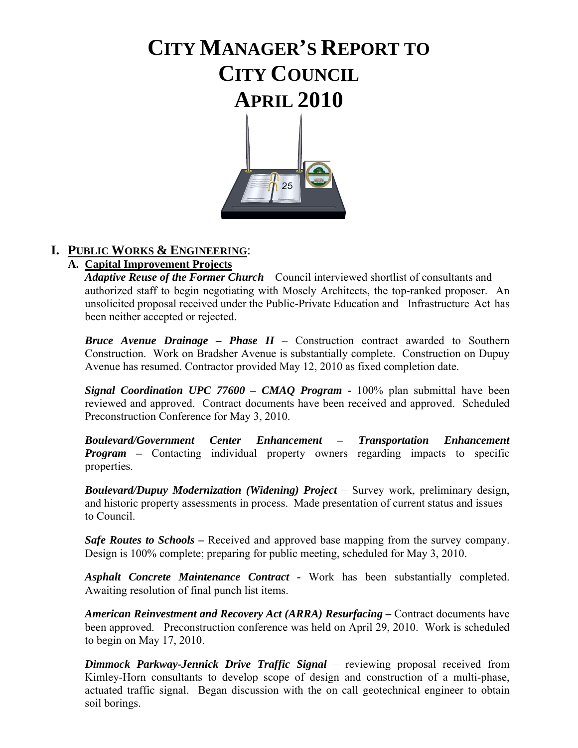# **CITY MANAGER'S REPORT TO CITY COUNCIL APRIL 2010**



### **I. PUBLIC WORKS & ENGINEERING**:

### **A. Capital Improvement Projects**

 *Adaptive Reuse of the Former Church* – Council interviewed shortlist of consultants and authorized staff to begin negotiating with Mosely Architects, the top-ranked proposer. An unsolicited proposal received under the Public-Private Education and Infrastructure Act has been neither accepted or rejected.

*Bruce Avenue Drainage – Phase II* – Construction contract awarded to Southern Construction. Work on Bradsher Avenue is substantially complete. Construction on Dupuy Avenue has resumed. Contractor provided May 12, 2010 as fixed completion date.

*Signal Coordination UPC 77600 – CMAO Program - 100% plan submittal have been* reviewed and approved. Contract documents have been received and approved. Scheduled Preconstruction Conference for May 3, 2010.

 *Boulevard/Government Center Enhancement – Transportation Enhancement Program –* Contacting individual property owners regarding impacts to specific properties.

*Boulevard/Dupuy Modernization (Widening) Project* – Survey work, preliminary design, and historic property assessments in process. Made presentation of current status and issues to Council.

*Safe Routes to Schools* **–** Received and approved base mapping from the survey company. Design is 100% complete; preparing for public meeting, scheduled for May 3, 2010.

*Asphalt Concrete Maintenance Contract -* Work has been substantially completed. Awaiting resolution of final punch list items.

*American Reinvestment and Recovery Act (ARRA) Resurfacing –* Contract documents have been approved. Preconstruction conference was held on April 29, 2010. Work is scheduled to begin on May 17, 2010.

*Dimmock Parkway-Jennick Drive Traffic Signal* – reviewing proposal received from Kimley-Horn consultants to develop scope of design and construction of a multi-phase, actuated traffic signal. Began discussion with the on call geotechnical engineer to obtain soil borings.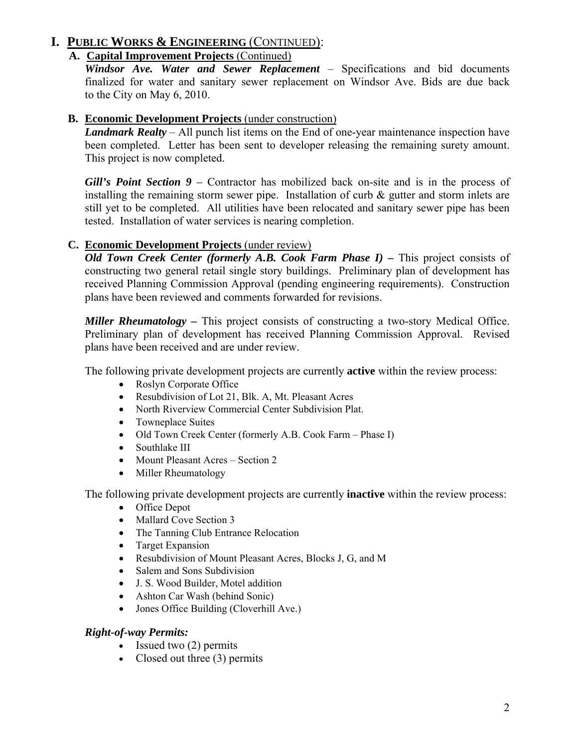### **A. Capital Improvement Projects** (Continued)

 *Windsor Ave. Water and Sewer Replacement* – Specifications and bid documents finalized for water and sanitary sewer replacement on Windsor Ave. Bids are due back to the City on May 6, 2010.

#### **B. Economic Development Projects** (under construction)

*Landmark Realty* – All punch list items on the End of one-year maintenance inspection have been completed. Letter has been sent to developer releasing the remaining surety amount. This project is now completed.

*Gill's Point Section 9 –* Contractor has mobilized back on-site and is in the process of installing the remaining storm sewer pipe. Installation of curb  $\&$  gutter and storm inlets are still yet to be completed. All utilities have been relocated and sanitary sewer pipe has been tested. Installation of water services is nearing completion.

#### **C. Economic Development Projects** (under review)

*Old Town Creek Center (formerly A.B. Cook Farm Phase I) –* This project consists of constructing two general retail single story buildings. Preliminary plan of development has received Planning Commission Approval (pending engineering requirements). Construction plans have been reviewed and comments forwarded for revisions.

*Miller Rheumatology –* This project consists of constructing a two-story Medical Office. Preliminary plan of development has received Planning Commission Approval. Revised plans have been received and are under review.

The following private development projects are currently **active** within the review process:

- Roslyn Corporate Office
- Resubdivision of Lot 21, Blk. A, Mt. Pleasant Acres
- North Riverview Commercial Center Subdivision Plat.
- Towneplace Suites
- Old Town Creek Center (formerly A.B. Cook Farm Phase I)
- Southlake III
- Mount Pleasant Acres Section 2
- Miller Rheumatology

The following private development projects are currently **inactive** within the review process:

- Office Depot
- Mallard Cove Section 3
- The Tanning Club Entrance Relocation
- Target Expansion
- Resubdivision of Mount Pleasant Acres, Blocks J, G, and M
- Salem and Sons Subdivision
- J. S. Wood Builder, Motel addition
- Ashton Car Wash (behind Sonic)
- Jones Office Building (Cloverhill Ave.)

#### *Right-of-way Permits:*

- Issued two (2) permits
- Closed out three (3) permits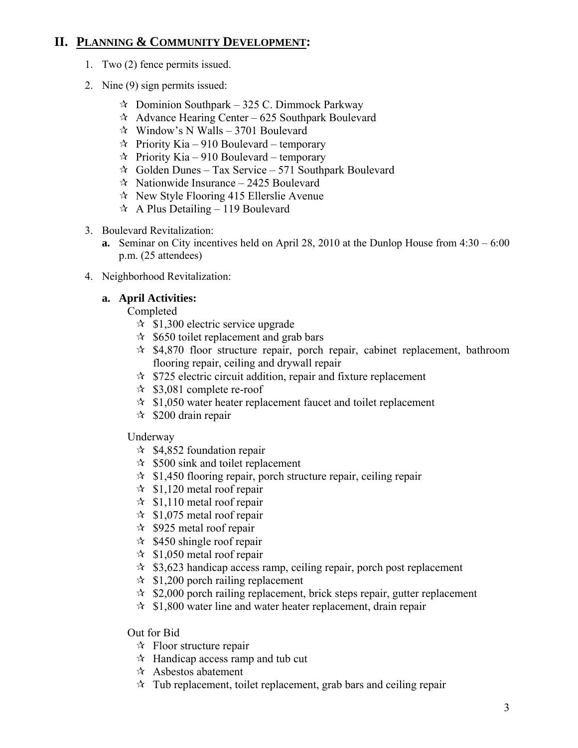### **II. PLANNING & COMMUNITY DEVELOPMENT:**

- 1. Two (2) fence permits issued.
- 2. Nine (9) sign permits issued:
	- $\approx$  Dominion Southpark 325 C. Dimmock Parkway
	- $\lambda$  Advance Hearing Center 625 Southpark Boulevard
	- $\forall$  Window's N Walls 3701 Boulevard
	- $\hat{x}$  Priority Kia 910 Boulevard temporary
	- $\hat{x}$  Priority Kia 910 Boulevard temporary
	- $\approx$  Golden Dunes Tax Service 571 Southpark Boulevard
	- $\approx$  Nationwide Insurance 2425 Boulevard
	- $\approx$  New Style Flooring 415 Ellerslie Avenue
	- $\triangle$  A Plus Detailing 119 Boulevard
- 3. Boulevard Revitalization:
	- **a.** Seminar on City incentives held on April 28, 2010 at the Dunlop House from 4:30 6:00 p.m. (25 attendees)
- 4. Neighborhood Revitalization:

### **a. April Activities:**

Completed

- $\approx$  \$1,300 electric service upgrade
- $\approx$  \$650 toilet replacement and grab bars
- $\approx$  \$4,870 floor structure repair, porch repair, cabinet replacement, bathroom flooring repair, ceiling and drywall repair
- $\approx$  \$725 electric circuit addition, repair and fixture replacement
- $\approx$  \$3,081 complete re-roof
- $\approx$  \$1,050 water heater replacement faucet and toilet replacement
- $\approx$  \$200 drain repair

### Underway

- $\approx$  \$4,852 foundation repair
- $\approx$  \$500 sink and toilet replacement
- $\approx$  \$1,450 flooring repair, porch structure repair, ceiling repair
- $\approx$  \$1,120 metal roof repair
- $\approx$  \$1,110 metal roof repair
- $\approx$  \$1,075 metal roof repair
- $\approx$  \$925 metal roof repair
- $\approx$  \$450 shingle roof repair
- $\approx$  \$1,050 metal roof repair
- $\approx$  \$3,623 handicap access ramp, ceiling repair, porch post replacement
- $\approx$  \$1,200 porch railing replacement
- $\approx$  \$2,000 porch railing replacement, brick steps repair, gutter replacement
- $\approx$  \$1,800 water line and water heater replacement, drain repair

Out for Bid

- $\mathcal{F}$  Floor structure repair
- $\mathcal{A}$  Handicap access ramp and tub cut
- $\mathcal{R}$  Asbestos abatement
- $\star$  Tub replacement, toilet replacement, grab bars and ceiling repair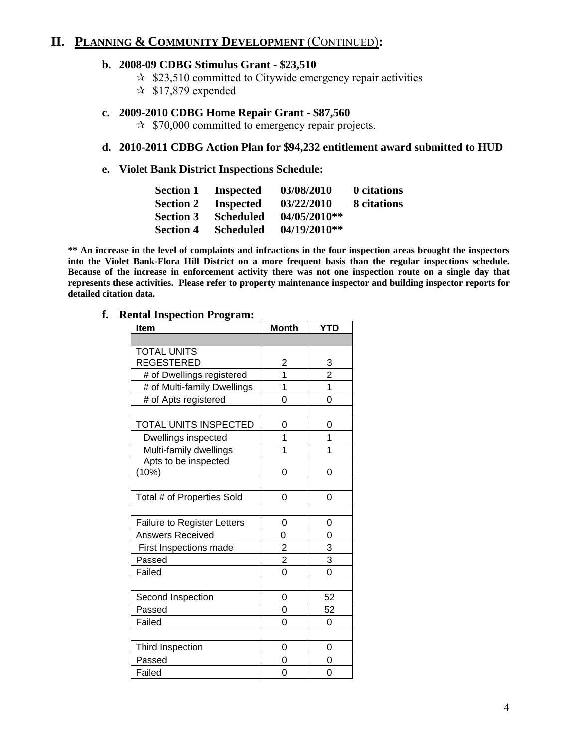### **II. PLANNING & COMMUNITY DEVELOPMENT** (CONTINUED)**:**

#### **b. 2008-09 CDBG Stimulus Grant - \$23,510**

- $\approx$  \$23,510 committed to Citywide emergency repair activities
- $\approx$  \$17,879 expended

#### **c. 2009-2010 CDBG Home Repair Grant - \$87,560**

 $\approx$  \$70,000 committed to emergency repair projects.

#### **d. 2010-2011 CDBG Action Plan for \$94,232 entitlement award submitted to HUD**

#### **e. Violet Bank District Inspections Schedule:**

| <b>Section 1</b> | <b>Inspected</b> | 03/08/2010   | 0 citations |
|------------------|------------------|--------------|-------------|
| <b>Section 2</b> | <b>Inspected</b> | 03/22/2010   | 8 citations |
| <b>Section 3</b> | <b>Scheduled</b> | 04/05/2010** |             |
| <b>Section 4</b> | <b>Scheduled</b> | 04/19/2010** |             |

**\*\* An increase in the level of complaints and infractions in the four inspection areas brought the inspectors into the Violet Bank-Flora Hill District on a more frequent basis than the regular inspections schedule. Because of the increase in enforcement activity there was not one inspection route on a single day that represents these activities. Please refer to property maintenance inspector and building inspector reports for detailed citation data.** 

#### **f. Rental Inspection Program:**

| <b>Item</b>                 | <b>Month</b>   | YTD            |
|-----------------------------|----------------|----------------|
|                             |                |                |
| <b>TOTAL UNITS</b>          |                |                |
| <b>REGESTERED</b>           | 2              | $\frac{3}{2}$  |
| # of Dwellings registered   | 1              |                |
| # of Multi-family Dwellings | 1              | $\overline{1}$ |
| # of Apts registered        | 0              | $\Omega$       |
|                             |                |                |
| TOTAL UNITS INSPECTED       | 0              | 0              |
| Dwellings inspected         | 1              | 1              |
| Multi-family dwellings      | 1              | 1              |
| Apts to be inspected        |                |                |
| (10%)                       | 0              | 0              |
|                             |                |                |
| Total # of Properties Sold  | 0              | 0              |
|                             |                |                |
| Failure to Register Letters | 0              | 0              |
| <b>Answers Received</b>     | 0              | 0              |
| First Inspections made      | $\overline{2}$ | 3              |
| Passed                      | $\overline{c}$ | 3              |
| Failed                      | 0              | 0              |
|                             |                |                |
| Second Inspection           | 0              | 52             |
| Passed                      | 0              | 52             |
| Failed                      | 0              | 0              |
|                             |                |                |
| Third Inspection            | 0              | 0              |
| Passed                      | 0              | 0              |
| Failed                      | 0              | 0              |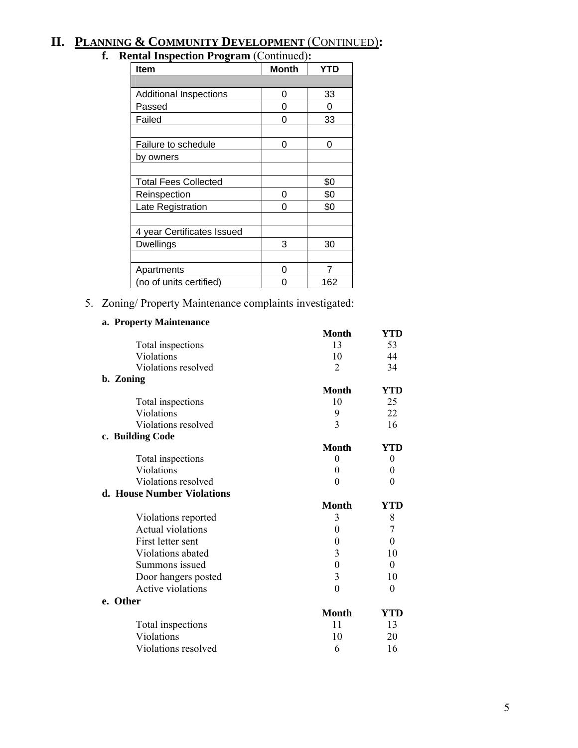# **II. PLANNING & COMMUNITY DEVELOPMENT** (CONTINUED)**:**

# **f. Rental Inspection Program** (Continued)**:**

| $\bullet$ $\cdot$ $\cdot$<br><b>Item</b> | <b>Month</b> | YTD |
|------------------------------------------|--------------|-----|
|                                          |              |     |
| <b>Additional Inspections</b>            | 0            | 33  |
| Passed                                   | 0            | O   |
| Failed                                   | 0            | 33  |
|                                          |              |     |
| Failure to schedule                      | 0            | 0   |
| by owners                                |              |     |
|                                          |              |     |
| <b>Total Fees Collected</b>              |              | \$0 |
| Reinspection                             | 0            | \$0 |
| Late Registration                        | O            | \$0 |
|                                          |              |     |
| 4 year Certificates Issued               |              |     |
| Dwellings                                | 3            | 30  |
|                                          |              |     |
| Apartments                               | O            | 7   |
| (no of units certified)                  | ი            | 162 |

5. Zoning/ Property Maintenance complaints investigated:

#### **a. Property Maintenance**

|                            | <b>Month</b>     | YTD              |
|----------------------------|------------------|------------------|
| Total inspections          | 13               | 53               |
| Violations                 | 10               | 44               |
| Violations resolved        | 2                | 34               |
| b. Zoning                  |                  |                  |
|                            | <b>Month</b>     | YTD              |
| Total inspections          | 10               | 25               |
| Violations                 | 9                | 22               |
| Violations resolved        | 3                | 16               |
| c. Building Code           |                  |                  |
|                            | Month            | YTD              |
| Total inspections          | $\boldsymbol{0}$ | $\boldsymbol{0}$ |
| Violations                 | 0                | 0                |
| Violations resolved        | $\theta$         | 0                |
| d. House Number Violations |                  |                  |
|                            | <b>Month</b>     | YTD              |
| Violations reported        | 3                | 8                |
| Actual violations          | 0                | 7                |
| First letter sent          | $\theta$         | $\theta$         |
| Violations abated          | 3                | 10               |
| Summons issued             | 0                | $\theta$         |
| Door hangers posted        | 3                | 10               |
| Active violations          | $\overline{0}$   | $\theta$         |
| e. Other                   |                  |                  |
|                            | <b>Month</b>     | YTD              |
| Total inspections          | 11               | 13               |
| Violations                 | 10               | 20               |
| Violations resolved        | 6                | 16               |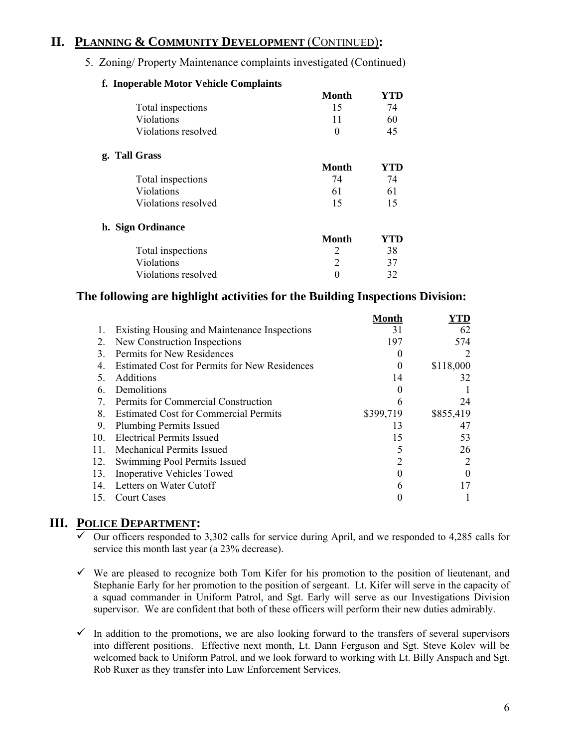### **II. PLANNING & COMMUNITY DEVELOPMENT** (CONTINUED)**:**

5. Zoning/ Property Maintenance complaints investigated (Continued)

| n. moperable motor venicle complaints |              |     |
|---------------------------------------|--------------|-----|
|                                       | Month        | YTD |
| Total inspections                     | 15           | 74  |
| Violations                            | 11           | 60  |
| Violations resolved                   | $\Omega$     | 45  |
| g. Tall Grass                         |              |     |
|                                       | Month        | YTD |
| Total inspections                     | 74           | 74  |
| Violations                            | 61           | 61  |
| Violations resolved                   | 15           | 15  |
| h. Sign Ordinance                     |              |     |
|                                       | <b>Month</b> | YTD |
| Total inspections                     | 2            | 38  |
| Violations                            | 2            | 37  |
| Violations resolved                   | 0            | 32  |

#### **f. Inoperable Motor Vehicle Complaints**

#### **The following are highlight activities for the Building Inspections Division:**

|                 |                                                      | Month     | YTD       |
|-----------------|------------------------------------------------------|-----------|-----------|
|                 | <b>Existing Housing and Maintenance Inspections</b>  | 31        | 62        |
| 2.              | New Construction Inspections                         | 197       | 574       |
| 3.              | Permits for New Residences                           |           |           |
| 4.              | <b>Estimated Cost for Permits for New Residences</b> | 0         | \$118,000 |
|                 | <b>Additions</b>                                     | 14        | 32        |
| 6.              | Demolitions                                          | 0         |           |
| 7.              | Permits for Commercial Construction                  | 6         | 24        |
| 8.              | <b>Estimated Cost for Commercial Permits</b>         | \$399,719 | \$855,419 |
| 9.              | <b>Plumbing Permits Issued</b>                       | 13        | 47        |
| 10 <sub>1</sub> | <b>Electrical Permits Issued</b>                     | 15        | 53        |
| 11.             | Mechanical Permits Issued                            |           | 26        |
| 12.             | Swimming Pool Permits Issued                         |           |           |
| 13.             | <b>Inoperative Vehicles Towed</b>                    |           |           |
| 14.             | Letters on Water Cutoff                              | h         |           |
| 15.             | <b>Court Cases</b>                                   |           |           |

#### **III. POLICE DEPARTMENT:**

- $\overline{\smile}$  Our officers responded to 3,302 calls for service during April, and we responded to 4,285 calls for service this month last year (a 23% decrease).
- $\checkmark$  We are pleased to recognize both Tom Kifer for his promotion to the position of lieutenant, and Stephanie Early for her promotion to the position of sergeant. Lt. Kifer will serve in the capacity of a squad commander in Uniform Patrol, and Sgt. Early will serve as our Investigations Division supervisor. We are confident that both of these officers will perform their new duties admirably.
- $\checkmark$  In addition to the promotions, we are also looking forward to the transfers of several supervisors into different positions. Effective next month, Lt. Dann Ferguson and Sgt. Steve Kolev will be welcomed back to Uniform Patrol, and we look forward to working with Lt. Billy Anspach and Sgt. Rob Ruxer as they transfer into Law Enforcement Services.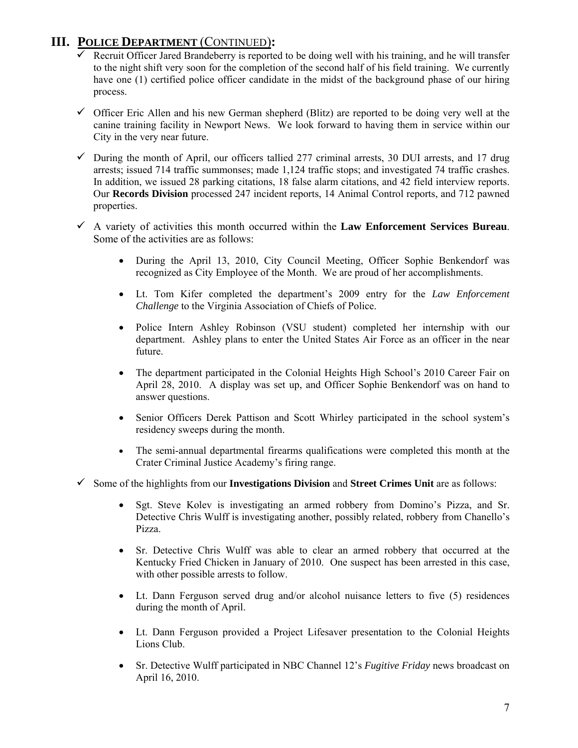### **III. POLICE DEPARTMENT** (CONTINUED)**:**

- $\checkmark$  Recruit Officer Jared Brandeberry is reported to be doing well with his training, and he will transfer to the night shift very soon for the completion of the second half of his field training. We currently have one (1) certified police officer candidate in the midst of the background phase of our hiring process.
- $\checkmark$  Officer Eric Allen and his new German shepherd (Blitz) are reported to be doing very well at the canine training facility in Newport News. We look forward to having them in service within our City in the very near future.
- $\checkmark$  During the month of April, our officers tallied 277 criminal arrests, 30 DUI arrests, and 17 drug arrests; issued 714 traffic summonses; made 1,124 traffic stops; and investigated 74 traffic crashes. In addition, we issued 28 parking citations, 18 false alarm citations, and 42 field interview reports. Our **Records Division** processed 247 incident reports, 14 Animal Control reports, and 712 pawned properties.
- $\checkmark$  A variety of activities this month occurred within the **Law Enforcement Services Bureau**. Some of the activities are as follows:
	- During the April 13, 2010, City Council Meeting, Officer Sophie Benkendorf was recognized as City Employee of the Month. We are proud of her accomplishments.
	- Lt. Tom Kifer completed the department's 2009 entry for the *Law Enforcement Challenge* to the Virginia Association of Chiefs of Police.
	- Police Intern Ashley Robinson (VSU student) completed her internship with our department. Ashley plans to enter the United States Air Force as an officer in the near future.
	- The department participated in the Colonial Heights High School's 2010 Career Fair on April 28, 2010. A display was set up, and Officer Sophie Benkendorf was on hand to answer questions.
	- Senior Officers Derek Pattison and Scott Whirley participated in the school system's residency sweeps during the month.
	- The semi-annual departmental firearms qualifications were completed this month at the Crater Criminal Justice Academy's firing range.
- $\checkmark$  Some of the highlights from our **Investigations Division** and **Street Crimes Unit** are as follows:
	- Sgt. Steve Kolev is investigating an armed robbery from Domino's Pizza, and Sr. Detective Chris Wulff is investigating another, possibly related, robbery from Chanello's Pizza.
	- Sr. Detective Chris Wulff was able to clear an armed robbery that occurred at the Kentucky Fried Chicken in January of 2010. One suspect has been arrested in this case, with other possible arrests to follow.
	- Lt. Dann Ferguson served drug and/or alcohol nuisance letters to five (5) residences during the month of April.
	- Lt. Dann Ferguson provided a Project Lifesaver presentation to the Colonial Heights Lions Club.
	- Sr. Detective Wulff participated in NBC Channel 12's *Fugitive Friday* news broadcast on April 16, 2010.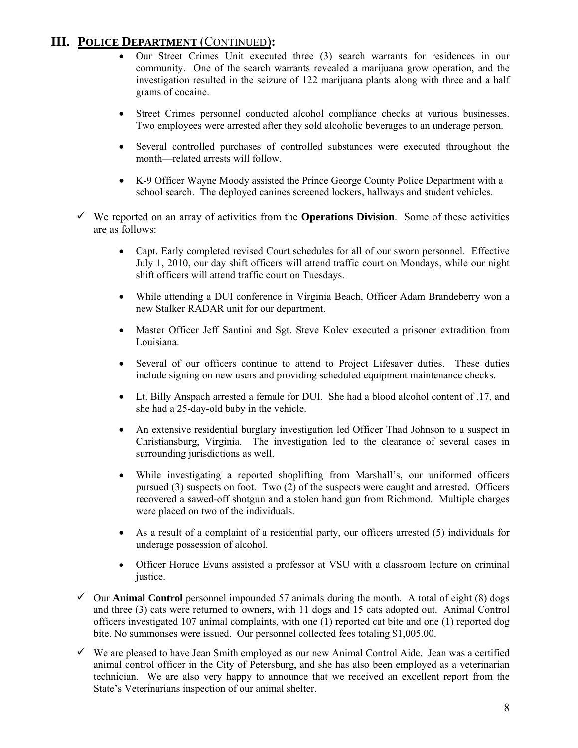### **III. POLICE DEPARTMENT** (CONTINUED)**:**

- Our Street Crimes Unit executed three (3) search warrants for residences in our community. One of the search warrants revealed a marijuana grow operation, and the investigation resulted in the seizure of 122 marijuana plants along with three and a half grams of cocaine.
- Street Crimes personnel conducted alcohol compliance checks at various businesses. Two employees were arrested after they sold alcoholic beverages to an underage person.
- Several controlled purchases of controlled substances were executed throughout the month—related arrests will follow.
- K-9 Officer Wayne Moody assisted the Prince George County Police Department with a school search. The deployed canines screened lockers, hallways and student vehicles.
- $\checkmark$  We reported on an array of activities from the **Operations Division**. Some of these activities are as follows:
	- Capt. Early completed revised Court schedules for all of our sworn personnel. Effective July 1, 2010, our day shift officers will attend traffic court on Mondays, while our night shift officers will attend traffic court on Tuesdays.
	- While attending a DUI conference in Virginia Beach, Officer Adam Brandeberry won a new Stalker RADAR unit for our department.
	- Master Officer Jeff Santini and Sgt. Steve Kolev executed a prisoner extradition from Louisiana.
	- Several of our officers continue to attend to Project Lifesaver duties. These duties include signing on new users and providing scheduled equipment maintenance checks.
	- Lt. Billy Anspach arrested a female for DUI. She had a blood alcohol content of .17, and she had a 25-day-old baby in the vehicle.
	- An extensive residential burglary investigation led Officer Thad Johnson to a suspect in Christiansburg, Virginia. The investigation led to the clearance of several cases in surrounding jurisdictions as well.
	- While investigating a reported shoplifting from Marshall's, our uniformed officers pursued (3) suspects on foot. Two (2) of the suspects were caught and arrested. Officers recovered a sawed-off shotgun and a stolen hand gun from Richmond. Multiple charges were placed on two of the individuals.
	- As a result of a complaint of a residential party, our officers arrested (5) individuals for underage possession of alcohol.
	- Officer Horace Evans assisted a professor at VSU with a classroom lecture on criminal justice.
- $\checkmark$  Our **Animal Control** personnel impounded 57 animals during the month. A total of eight (8) dogs and three (3) cats were returned to owners, with 11 dogs and 15 cats adopted out. Animal Control officers investigated 107 animal complaints, with one (1) reported cat bite and one (1) reported dog bite. No summonses were issued. Our personnel collected fees totaling \$1,005.00.
- $\checkmark$  We are pleased to have Jean Smith employed as our new Animal Control Aide. Jean was a certified animal control officer in the City of Petersburg, and she has also been employed as a veterinarian technician. We are also very happy to announce that we received an excellent report from the State's Veterinarians inspection of our animal shelter.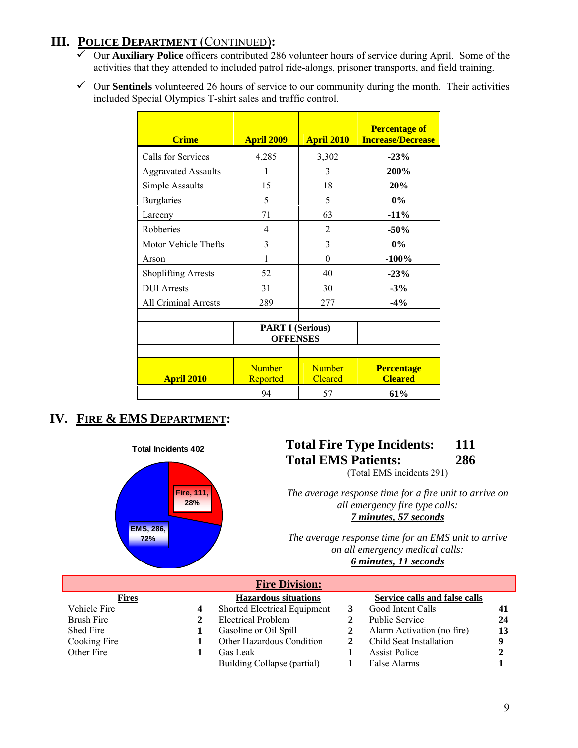# **III. POLICE DEPARTMENT** (CONTINUED)**:**

- 9 Our **Auxiliary Police** officers contributed 286 volunteer hours of service during April. Some of the activities that they attended to included patrol ride-alongs, prisoner transports, and field training.
- $\checkmark$  Our **Sentinels** volunteered 26 hours of service to our community during the month. Their activities included Special Olympics T-shirt sales and traffic control.

| <b>Crime</b>                | <b>April 2009</b>                          | <b>April 2010</b>               | <b>Percentage of</b><br><b>Increase/Decrease</b> |
|-----------------------------|--------------------------------------------|---------------------------------|--------------------------------------------------|
| Calls for Services          | 4,285                                      | 3,302                           | $-23%$                                           |
| <b>Aggravated Assaults</b>  | 1                                          | 3                               | 200%                                             |
| Simple Assaults             | 15                                         | 18                              | 20%                                              |
| <b>Burglaries</b>           | 5                                          | 5                               | $0\%$                                            |
| Larceny                     | 71                                         | 63                              | $-11%$                                           |
| Robberies                   | 4                                          | $\overline{2}$                  | $-50%$                                           |
| Motor Vehicle Thefts        | 3                                          | 3                               | $0\%$                                            |
| Arson                       | 1                                          | $\theta$                        | $-100%$                                          |
| <b>Shoplifting Arrests</b>  | 52                                         | 40                              | $-23%$                                           |
| <b>DUI</b> Arrests          | 31                                         | 30                              | $-3%$                                            |
| <b>All Criminal Arrests</b> | 289                                        | 277                             | $-4%$                                            |
|                             | <b>PART I (Serious)</b><br><b>OFFENSES</b> |                                 |                                                  |
| <b>April 2010</b>           | <b>Number</b><br>Reported                  | <b>Number</b><br><b>Cleared</b> | <b>Percentage</b><br><b>Cleared</b>              |
|                             | 94                                         | 57                              | 61%                                              |

# **IV. FIRE & EMS DEPARTMENT:**

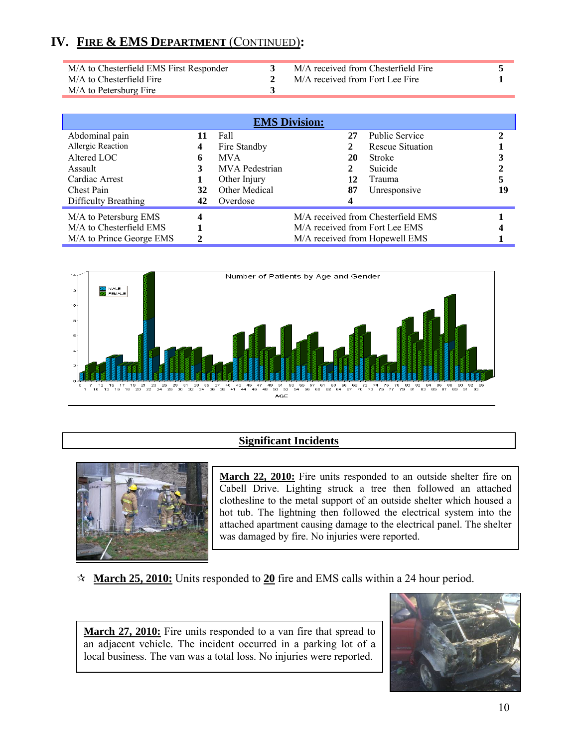| M/A to Chesterfield EMS First Responder | M/A received from Chesterfield Fire |  |
|-----------------------------------------|-------------------------------------|--|
| M/A to Chesterfield Fire                | M/A received from Fort Lee Fire     |  |
| M/A to Petersburg Fire                  |                                     |  |
|                                         |                                     |  |

| <b>EMS Division:</b>     |    |                       |                                |  |                                    |  |    |
|--------------------------|----|-----------------------|--------------------------------|--|------------------------------------|--|----|
| Abdominal pain           |    | Fall                  | 27                             |  | <b>Public Service</b>              |  |    |
| Allergic Reaction        | 4  | Fire Standby          |                                |  | <b>Rescue Situation</b>            |  |    |
| Altered LOC              | 6  | <b>MVA</b>            | 20                             |  | <b>Stroke</b>                      |  |    |
| Assault                  |    | <b>MVA</b> Pedestrian |                                |  | Suicide                            |  |    |
| Cardiac Arrest           |    | Other Injury          | 12                             |  | Trauma                             |  |    |
| <b>Chest Pain</b>        | 32 | Other Medical         | 87                             |  | Unresponsive                       |  | 19 |
| Difficulty Breathing     | 42 | Overdose              |                                |  |                                    |  |    |
| M/A to Petersburg EMS    | 4  |                       |                                |  | M/A received from Chesterfield EMS |  |    |
| M/A to Chesterfield EMS  |    |                       | M/A received from Fort Lee EMS |  |                                    |  |    |
| M/A to Prince George EMS |    |                       |                                |  | M/A received from Hopewell EMS     |  |    |



#### **Significant Incidents**



**March 22, 2010:** Fire units responded to an outside shelter fire on Cabell Drive. Lighting struck a tree then followed an attached clothesline to the metal support of an outside shelter which housed a hot tub. The lightning then followed the electrical system into the attached apartment causing damage to the electrical panel. The shelter was damaged by fire. No injuries were reported.

**March 25, 2010:** Units responded to **20** fire and EMS calls within a 24 hour period.

**March 27, 2010:** Fire units responded to a van fire that spread to an adjacent vehicle. The incident occurred in a parking lot of a local business. The van was a total loss. No injuries were reported.

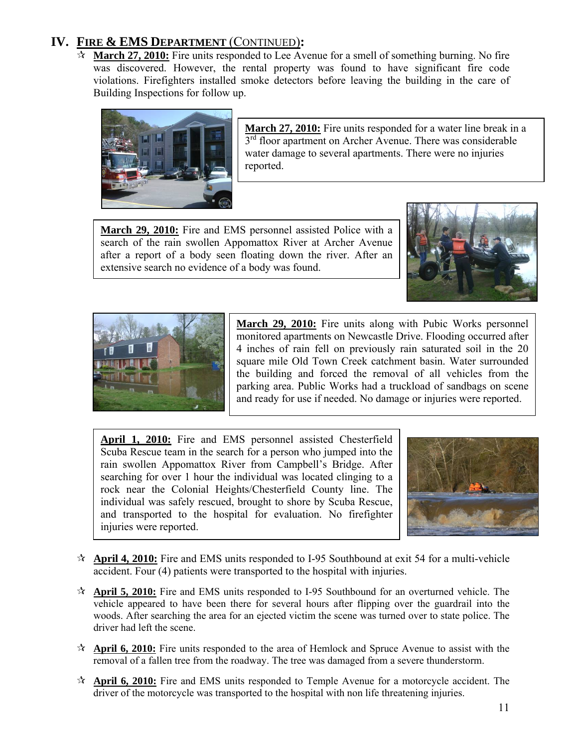**March 27, 2010:** Fire units responded to Lee Avenue for a smell of something burning. No fire was discovered. However, the rental property was found to have significant fire code violations. Firefighters installed smoke detectors before leaving the building in the care of Building Inspections for follow up.



**March 27, 2010:** Fire units responded for a water line break in a  $3<sup>rd</sup>$  floor apartment on Archer Avenue. There was considerable water damage to several apartments. There were no injuries reported.

**March 29, 2010:** Fire and EMS personnel assisted Police with a search of the rain swollen Appomattox River at Archer Avenue after a report of a body seen floating down the river. After an extensive search no evidence of a body was found.





**March 29, 2010:** Fire units along with Pubic Works personnel monitored apartments on Newcastle Drive. Flooding occurred after 4 inches of rain fell on previously rain saturated soil in the 20 square mile Old Town Creek catchment basin. Water surrounded the building and forced the removal of all vehicles from the parking area. Public Works had a truckload of sandbags on scene and ready for use if needed. No damage or injuries were reported.

**April 1, 2010:** Fire and EMS personnel assisted Chesterfield Scuba Rescue team in the search for a person who jumped into the rain swollen Appomattox River from Campbell's Bridge. After searching for over 1 hour the individual was located clinging to a rock near the Colonial Heights/Chesterfield County line. The individual was safely rescued, brought to shore by Scuba Rescue, and transported to the hospital for evaluation. No firefighter injuries were reported.



- **April 4, 2010:** Fire and EMS units responded to I-95 Southbound at exit 54 for a multi-vehicle accident. Four (4) patients were transported to the hospital with injuries.
- **April 5, 2010:** Fire and EMS units responded to I-95 Southbound for an overturned vehicle. The vehicle appeared to have been there for several hours after flipping over the guardrail into the woods. After searching the area for an ejected victim the scene was turned over to state police. The driver had left the scene.
- **April 6, 2010:** Fire units responded to the area of Hemlock and Spruce Avenue to assist with the removal of a fallen tree from the roadway. The tree was damaged from a severe thunderstorm.
- **April 6, 2010:** Fire and EMS units responded to Temple Avenue for a motorcycle accident. The driver of the motorcycle was transported to the hospital with non life threatening injuries.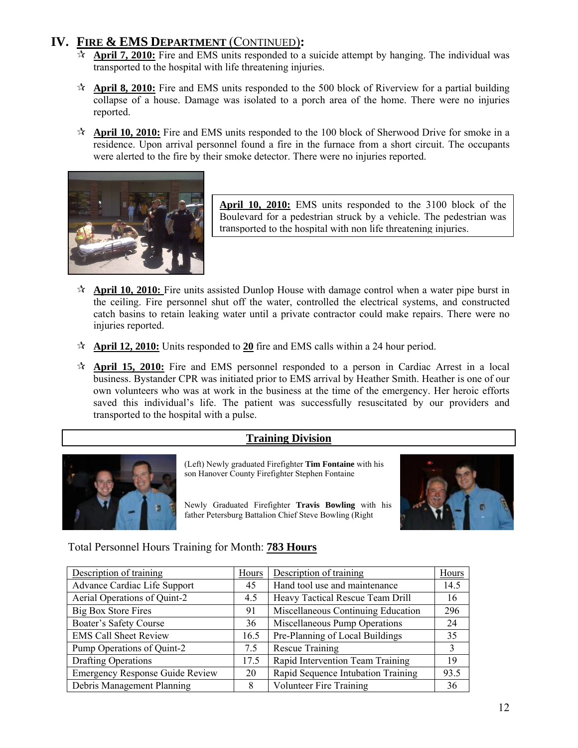- **April 7, 2010:** Fire and EMS units responded to a suicide attempt by hanging. The individual was transported to the hospital with life threatening injuries.
- **April 8, 2010:** Fire and EMS units responded to the 500 block of Riverview for a partial building collapse of a house. Damage was isolated to a porch area of the home. There were no injuries reported.
- **April 10, 2010:** Fire and EMS units responded to the 100 block of Sherwood Drive for smoke in a residence. Upon arrival personnel found a fire in the furnace from a short circuit. The occupants were alerted to the fire by their smoke detector. There were no injuries reported.



**April 10, 2010:** EMS units responded to the 3100 block of the Boulevard for a pedestrian struck by a vehicle. The pedestrian was transported to the hospital with non life threatening injuries.

- **April 10, 2010:** Fire units assisted Dunlop House with damage control when a water pipe burst in the ceiling. Fire personnel shut off the water, controlled the electrical systems, and constructed catch basins to retain leaking water until a private contractor could make repairs. There were no injuries reported.
- **April 12, 2010:** Units responded to **20** fire and EMS calls within a 24 hour period.
- **April 15, 2010:** Fire and EMS personnel responded to a person in Cardiac Arrest in a local business. Bystander CPR was initiated prior to EMS arrival by Heather Smith. Heather is one of our own volunteers who was at work in the business at the time of the emergency. Her heroic efforts saved this individual's life. The patient was successfully resuscitated by our providers and transported to the hospital with a pulse.

#### **Training Division**



(Left) Newly graduated Firefighter **Tim Fontaine** with his son Hanover County Firefighter Stephen Fontaine

Newly Graduated Firefighter **Travis Bowling** with his father Petersburg Battalion Chief Steve Bowling (Right



### Total Personnel Hours Training for Month: **783 Hours**

| Description of training                | Hours | Description of training            | Hours |
|----------------------------------------|-------|------------------------------------|-------|
| Advance Cardiac Life Support           | 45    | Hand tool use and maintenance      | 14.5  |
| Aerial Operations of Quint-2           | 4.5   | Heavy Tactical Rescue Team Drill   | 16    |
| <b>Big Box Store Fires</b>             | 91    | Miscellaneous Continuing Education | 296   |
| Boater's Safety Course                 | 36    | Miscellaneous Pump Operations      | 24    |
| <b>EMS Call Sheet Review</b>           | 16.5  | Pre-Planning of Local Buildings    | 35    |
| Pump Operations of Quint-2             | 7.5   | <b>Rescue Training</b>             | 3     |
| Drafting Operations                    | 17.5  | Rapid Intervention Team Training   | 19    |
| <b>Emergency Response Guide Review</b> | 20    | Rapid Sequence Intubation Training | 93.5  |
| Debris Management Planning             | 8     | <b>Volunteer Fire Training</b>     | 36    |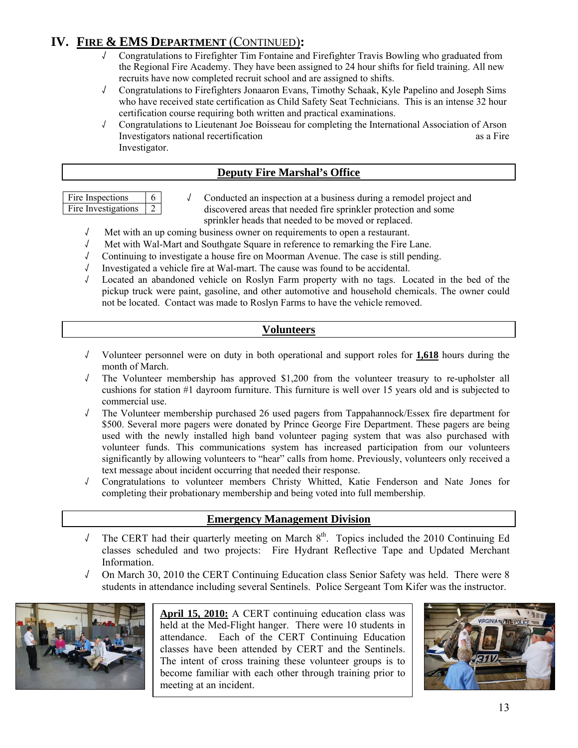- √ Congratulations to Firefighter Tim Fontaine and Firefighter Travis Bowling who graduated from the Regional Fire Academy. They have been assigned to 24 hour shifts for field training. All new recruits have now completed recruit school and are assigned to shifts.
- √ Congratulations to Firefighters Jonaaron Evans, Timothy Schaak, Kyle Papelino and Joseph Sims who have received state certification as Child Safety Seat Technicians. This is an intense 32 hour certification course requiring both written and practical examinations.
- √ Congratulations to Lieutenant Joe Boisseau for completing the International Association of Arson Investigators national recertification as a Fire and the set of the set of the set of the set of the set of the set of the set of the set of the set of the set of the set of the set of the set of the set of the set of the Investigator.

#### **Deputy Fire Marshal's Office**

| Fire Inspections    |  |
|---------------------|--|
| Fire Investigations |  |

√ Conducted an inspection at a business during a remodel project and discovered areas that needed fire sprinkler protection and some sprinkler heads that needed to be moved or replaced.

- √ Met with an up coming business owner on requirements to open a restaurant.
- √ Met with Wal-Mart and Southgate Square in reference to remarking the Fire Lane.
- √ Continuing to investigate a house fire on Moorman Avenue. The case is still pending.
- √ Investigated a vehicle fire at Wal-mart. The cause was found to be accidental.
- Located an abandoned vehicle on Roslyn Farm property with no tags. Located in the bed of the pickup truck were paint, gasoline, and other automotive and household chemicals. The owner could not be located. Contact was made to Roslyn Farms to have the vehicle removed.

#### **Volunteers**

- √ Volunteer personnel were on duty in both operational and support roles for **1,618** hours during the month of March.
- √ The Volunteer membership has approved \$1,200 from the volunteer treasury to re-upholster all cushions for station #1 dayroom furniture. This furniture is well over 15 years old and is subjected to commercial use.
- √ The Volunteer membership purchased 26 used pagers from Tappahannock/Essex fire department for \$500. Several more pagers were donated by Prince George Fire Department. These pagers are being used with the newly installed high band volunteer paging system that was also purchased with volunteer funds. This communications system has increased participation from our volunteers significantly by allowing volunteers to "hear" calls from home. Previously, volunteers only received a text message about incident occurring that needed their response.
- √ Congratulations to volunteer members Christy Whitted, Katie Fenderson and Nate Jones for completing their probationary membership and being voted into full membership.

#### **Emergency Management Division**

- √ The CERT had their quarterly meeting on March 8<sup>th</sup>. Topics included the 2010 Continuing Ed classes scheduled and two projects: Fire Hydrant Reflective Tape and Updated Merchant Information.
- √ On March 30, 2010 the CERT Continuing Education class Senior Safety was held. There were 8 students in attendance including several Sentinels. Police Sergeant Tom Kifer was the instructor.



**April 15, 2010:** A CERT continuing education class was held at the Med-Flight hanger. There were 10 students in attendance. Each of the CERT Continuing Education classes have been attended by CERT and the Sentinels. The intent of cross training these volunteer groups is to become familiar with each other through training prior to meeting at an incident.

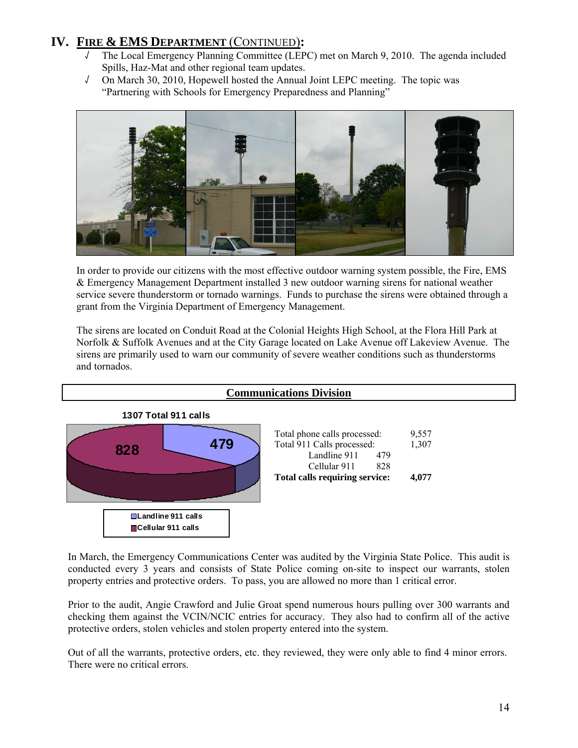- √ The Local Emergency Planning Committee (LEPC) met on March 9, 2010. The agenda included Spills, Haz-Mat and other regional team updates.
- √ On March 30, 2010, Hopewell hosted the Annual Joint LEPC meeting. The topic was "Partnering with Schools for Emergency Preparedness and Planning"



In order to provide our citizens with the most effective outdoor warning system possible, the Fire, EMS & Emergency Management Department installed 3 new outdoor warning sirens for national weather service severe thunderstorm or tornado warnings. Funds to purchase the sirens were obtained through a grant from the Virginia Department of Emergency Management.

The sirens are located on Conduit Road at the Colonial Heights High School, at the Flora Hill Park at Norfolk & Suffolk Avenues and at the City Garage located on Lake Avenue off Lakeview Avenue. The sirens are primarily used to warn our community of severe weather conditions such as thunderstorms and tornados.



In March, the Emergency Communications Center was audited by the Virginia State Police. This audit is conducted every 3 years and consists of State Police coming on-site to inspect our warrants, stolen property entries and protective orders. To pass, you are allowed no more than 1 critical error.

Prior to the audit, Angie Crawford and Julie Groat spend numerous hours pulling over 300 warrants and checking them against the VCIN/NCIC entries for accuracy. They also had to confirm all of the active protective orders, stolen vehicles and stolen property entered into the system.

Out of all the warrants, protective orders, etc. they reviewed, they were only able to find 4 minor errors. There were no critical errors.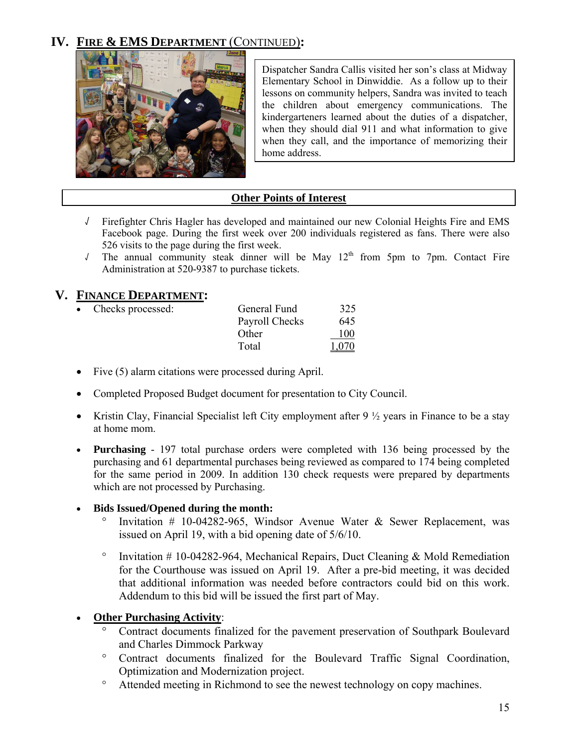

Dispatcher Sandra Callis visited her son's class at Midway Elementary School in Dinwiddie. As a follow up to their lessons on community helpers, Sandra was invited to teach the children about emergency communications. The kindergarteners learned about the duties of a dispatcher, when they should dial 911 and what information to give when they call, and the importance of memorizing their home address.

### **Other Points of Interest**

- √ Firefighter Chris Hagler has developed and maintained our new Colonial Heights Fire and EMS Facebook page. During the first week over 200 individuals registered as fans. There were also 526 visits to the page during the first week.
- √ The annual community steak dinner will be May 12th from 5pm to 7pm. Contact Fire Administration at 520-9387 to purchase tickets.

### **V. FINANCE DEPARTMENT:**

| General Fund        | 325   |
|---------------------|-------|
| Payroll Checks      | 645   |
| Other               | 100   |
| Total               | 1 070 |
| • Checks processed: |       |

- Five (5) alarm citations were processed during April.
- Completed Proposed Budget document for presentation to City Council.
- Kristin Clay, Financial Specialist left City employment after  $9\frac{1}{2}$  years in Finance to be a stay at home mom.
- **Purchasing**  197 total purchase orders were completed with 136 being processed by the purchasing and 61 departmental purchases being reviewed as compared to 174 being completed for the same period in 2009. In addition 130 check requests were prepared by departments which are not processed by Purchasing.

#### • **Bids Issued/Opened during the month:**

- Invitation # 10-04282-965, Windsor Avenue Water & Sewer Replacement, was issued on April 19, with a bid opening date of 5/6/10.
- ° Invitation # 10-04282-964, Mechanical Repairs, Duct Cleaning & Mold Remediation for the Courthouse was issued on April 19. After a pre-bid meeting, it was decided that additional information was needed before contractors could bid on this work. Addendum to this bid will be issued the first part of May.
- **Other Purchasing Activity**:
	- ° Contract documents finalized for the pavement preservation of Southpark Boulevard and Charles Dimmock Parkway
	- ° Contract documents finalized for the Boulevard Traffic Signal Coordination, Optimization and Modernization project.
	- ° Attended meeting in Richmond to see the newest technology on copy machines.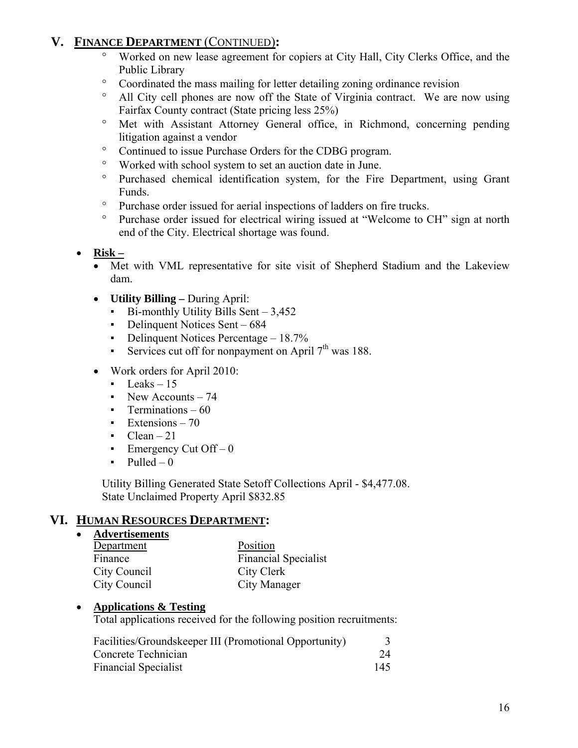# **V. FINANCE DEPARTMENT** (CONTINUED)**:**

- Worked on new lease agreement for copiers at City Hall, City Clerks Office, and the Public Library
- ° Coordinated the mass mailing for letter detailing zoning ordinance revision
- ° All City cell phones are now off the State of Virginia contract. We are now using Fairfax County contract (State pricing less 25%)
- ° Met with Assistant Attorney General office, in Richmond, concerning pending litigation against a vendor
- ° Continued to issue Purchase Orders for the CDBG program.
- ° Worked with school system to set an auction date in June.
- ° Purchased chemical identification system, for the Fire Department, using Grant Funds.
- ° Purchase order issued for aerial inspections of ladders on fire trucks.
- ° Purchase order issued for electrical wiring issued at "Welcome to CH" sign at north end of the City. Electrical shortage was found.
- **Risk –**
	- Met with VML representative for site visit of Shepherd Stadium and the Lakeview dam.
	- **Utility Billing** During April:
		- $Bi$ -monthly Utility Bills Sent 3,452
		- Delinquent Notices Sent 684
		- Delinquent Notices Percentage 18.7%
		- Services cut off for nonpayment on April  $7<sup>th</sup>$  was 188.
	- Work orders for April 2010:
		- $\text{Leaks} 15$
		- New Accounts 74
		- Terminations  $-60$
		- $\text{Extensions} 70$
		- $Clean 21$
		- Emergency Cut Off  $-0$
		- $\nu$  Pulled 0

Utility Billing Generated State Setoff Collections April - \$4,477.08. State Unclaimed Property April \$832.85

### **VI. HUMAN RESOURCES DEPARTMENT:**

• **Advertisements**

| Department   | Position                    |
|--------------|-----------------------------|
| Finance      | <b>Financial Specialist</b> |
| City Council | City Clerk                  |
| City Council | City Manager                |

#### • **Applications & Testing**

Total applications received for the following position recruitments:

| Facilities/Groundskeeper III (Promotional Opportunity) |     |
|--------------------------------------------------------|-----|
| Concrete Technician                                    | 24  |
| <b>Financial Specialist</b>                            | 145 |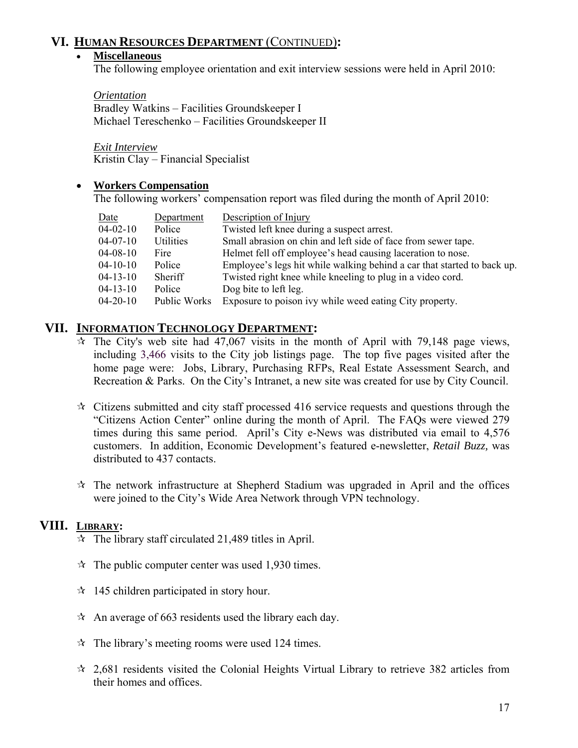### **VI. HUMAN RESOURCES DEPARTMENT** (CONTINUED)**:**

#### • **Miscellaneous**

The following employee orientation and exit interview sessions were held in April 2010:

 *Orientation* Bradley Watkins – Facilities Groundskeeper I Michael Tereschenko – Facilities Groundskeeper II

*Exit Interview* Kristin Clay – Financial Specialist

#### • **Workers Compensation**

The following workers' compensation report was filed during the month of April 2010:

| Date           | Department   | Description of Injury                                                   |
|----------------|--------------|-------------------------------------------------------------------------|
| $04 - 02 - 10$ | Police       | Twisted left knee during a suspect arrest.                              |
| $04-07-10$     | Utilities    | Small abrasion on chin and left side of face from sewer tape.           |
| $04 - 08 - 10$ | Fire         | Helmet fell off employee's head causing laceration to nose.             |
| $04 - 10 - 10$ | Police       | Employee's legs hit while walking behind a car that started to back up. |
| $04 - 13 - 10$ | Sheriff      | Twisted right knee while kneeling to plug in a video cord.              |
| $04 - 13 - 10$ | Police       | Dog bite to left leg.                                                   |
| $04 - 20 - 10$ | Public Works | Exposure to poison ivy while weed eating City property.                 |

#### **VII. INFORMATION TECHNOLOGY DEPARTMENT:**

- $\dot{\mathbf{x}}$  The City's web site had 47,067 visits in the month of April with 79,148 page views, including 3,466 visits to the City job listings page. The top five pages visited after the home page were: Jobs, Library, Purchasing RFPs, Real Estate Assessment Search, and Recreation & Parks. On the City's Intranet, a new site was created for use by City Council.
- $\star$  Citizens submitted and city staff processed 416 service requests and questions through the "Citizens Action Center" online during the month of April. The FAQs were viewed 279 times during this same period. April's City e-News was distributed via email to 4,576 customers. In addition, Economic Development's featured e-newsletter, *Retail Buzz,* was distributed to 437 contacts.
- $\hat{x}$  The network infrastructure at Shepherd Stadium was upgraded in April and the offices were joined to the City's Wide Area Network through VPN technology.

#### **VIII. LIBRARY:**

- $\hat{x}$  The library staff circulated 21,489 titles in April.
- $\hat{x}$  The public computer center was used 1,930 times.
- $\approx$  145 children participated in story hour.
- $\hat{x}$  An average of 663 residents used the library each day.
- $\hat{x}$  The library's meeting rooms were used 124 times.
- $\approx$  2,681 residents visited the Colonial Heights Virtual Library to retrieve 382 articles from their homes and offices.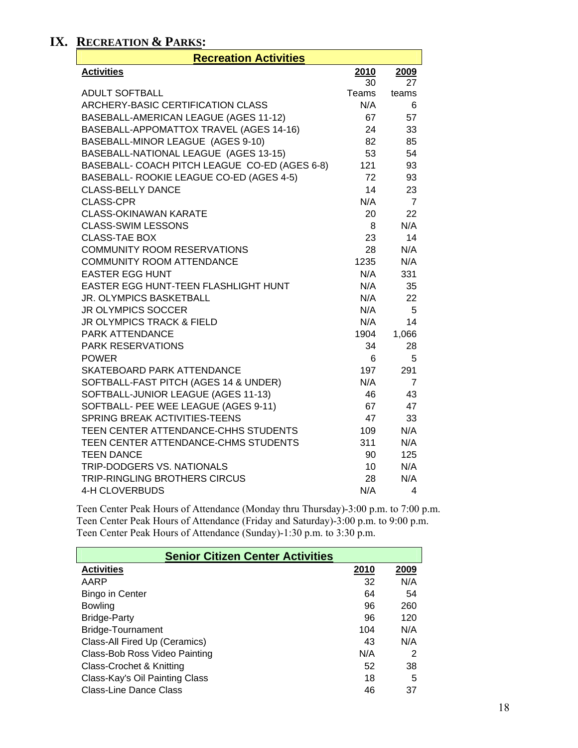# **IX. RECREATION & PARKS:**

| <b>Recreation Activities</b>                               |                 |           |  |
|------------------------------------------------------------|-----------------|-----------|--|
| <b>Activities</b>                                          | 2010            | 2009      |  |
|                                                            | 30              | 27        |  |
| <b>ADULT SOFTBALL</b>                                      | Teams           | teams     |  |
| ARCHERY-BASIC CERTIFICATION CLASS                          | N/A             | 6         |  |
| BASEBALL-AMERICAN LEAGUE (AGES 11-12)                      | 67              | 57        |  |
| BASEBALL-APPOMATTOX TRAVEL (AGES 14-16)                    | 24              | 33        |  |
| BASEBALL-MINOR LEAGUE (AGES 9-10)                          | 82              | 85        |  |
| BASEBALL-NATIONAL LEAGUE (AGES 13-15)                      | 53              | 54        |  |
| BASEBALL- COACH PITCH LEAGUE CO-ED (AGES 6-8)              | 121             | 93        |  |
| BASEBALL- ROOKIE LEAGUE CO-ED (AGES 4-5)                   | 72              | 93        |  |
| <b>CLASS-BELLY DANCE</b>                                   | 14              | 23        |  |
| <b>CLASS-CPR</b>                                           | N/A             | 7         |  |
| <b>CLASS-OKINAWAN KARATE</b>                               | 20              | 22        |  |
| <b>CLASS-SWIM LESSONS</b>                                  | 8               | N/A       |  |
| <b>CLASS-TAE BOX</b><br><b>COMMUNITY ROOM RESERVATIONS</b> | 23<br>28        | 14<br>N/A |  |
| <b>COMMUNITY ROOM ATTENDANCE</b>                           | 1235            | N/A       |  |
| <b>EASTER EGG HUNT</b>                                     | N/A             | 331       |  |
| EASTER EGG HUNT-TEEN FLASHLIGHT HUNT                       | N/A             | 35        |  |
| JR. OLYMPICS BASKETBALL                                    | N/A             | 22        |  |
| <b>JR OLYMPICS SOCCER</b>                                  | N/A             | 5         |  |
| JR OLYMPICS TRACK & FIELD                                  | N/A             | 14        |  |
| PARK ATTENDANCE                                            | 1904            | 1,066     |  |
| <b>PARK RESERVATIONS</b>                                   | 34              | 28        |  |
| <b>POWER</b>                                               | 6               | 5         |  |
| <b>SKATEBOARD PARK ATTENDANCE</b>                          | 197             | 291       |  |
| SOFTBALL-FAST PITCH (AGES 14 & UNDER)                      | N/A             | 7         |  |
| SOFTBALL-JUNIOR LEAGUE (AGES 11-13)                        | 46              | 43        |  |
| SOFTBALL- PEE WEE LEAGUE (AGES 9-11)                       | 67              | 47        |  |
| SPRING BREAK ACTIVITIES-TEENS                              | 47              | 33        |  |
| TEEN CENTER ATTENDANCE-CHHS STUDENTS                       | 109             | N/A       |  |
| TEEN CENTER ATTENDANCE-CHMS STUDENTS                       | 311             | N/A       |  |
| <b>TEEN DANCE</b>                                          | 90              | 125       |  |
| <b>TRIP-DODGERS VS. NATIONALS</b>                          | 10 <sup>1</sup> | N/A       |  |
| <b>TRIP-RINGLING BROTHERS CIRCUS</b>                       | 28              | N/A       |  |
| 4-H CLOVERBUDS                                             | N/A             | 4         |  |

Teen Center Peak Hours of Attendance (Monday thru Thursday)-3:00 p.m. to 7:00 p.m. Teen Center Peak Hours of Attendance (Friday and Saturday)-3:00 p.m. to 9:00 p.m. Teen Center Peak Hours of Attendance (Sunday)-1:30 p.m. to 3:30 p.m.

| <b>Senior Citizen Center Activities</b> |      |      |  |
|-----------------------------------------|------|------|--|
| <b>Activities</b>                       | 2010 | 2009 |  |
| AARP                                    | 32   | N/A  |  |
| <b>Bingo in Center</b>                  | 64   | 54   |  |
| <b>Bowling</b>                          | 96   | 260  |  |
| <b>Bridge-Party</b>                     | 96   | 120  |  |
| Bridge-Tournament                       | 104  | N/A  |  |
| Class-All Fired Up (Ceramics)           | 43   | N/A  |  |
| Class-Bob Ross Video Painting           | N/A  | 2    |  |
| Class-Crochet & Knitting                | 52   | 38   |  |
| Class-Kay's Oil Painting Class          | 18   | 5    |  |
| Class-Line Dance Class                  | 46   | 37   |  |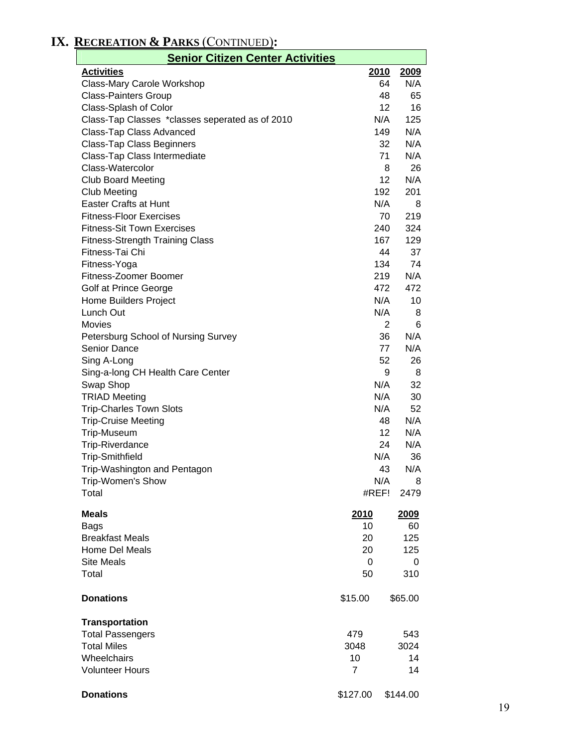# **IX. RECREATION & PARKS** (CONTINUED)**:**

| <b>Senior Citizen Center Activities</b>         |                |            |  |
|-------------------------------------------------|----------------|------------|--|
| <b>Activities</b>                               | 2010           | 2009       |  |
| Class-Mary Carole Workshop                      |                | 64<br>N/A  |  |
| <b>Class-Painters Group</b>                     |                | 65<br>48   |  |
| Class-Splash of Color                           |                | 16<br>12   |  |
| Class-Tap Classes *classes seperated as of 2010 | N/A            | 125        |  |
| Class-Tap Class Advanced                        | 149            | N/A        |  |
| <b>Class-Tap Class Beginners</b>                |                | N/A<br>32  |  |
| Class-Tap Class Intermediate                    |                | N/A<br>71  |  |
| Class-Watercolor                                |                | 26<br>8    |  |
| <b>Club Board Meeting</b>                       |                | N/A<br>12  |  |
| <b>Club Meeting</b>                             | 192            | 201        |  |
| Easter Crafts at Hunt                           | N/A            | 8          |  |
| <b>Fitness-Floor Exercises</b>                  |                | 219<br>70  |  |
| <b>Fitness-Sit Town Exercises</b>               | 240            | 324        |  |
| <b>Fitness-Strength Training Class</b>          | 167            | 129        |  |
| Fitness-Tai Chi                                 |                | 37<br>44   |  |
| Fitness-Yoga                                    | 134            | 74         |  |
| Fitness-Zoomer Boomer                           |                | N/A<br>219 |  |
| Golf at Prince George                           | 472            | 472        |  |
| Home Builders Project                           | N/A            | 10         |  |
| Lunch Out                                       | N/A            | 8          |  |
| <b>Movies</b>                                   |                | 2<br>6     |  |
| Petersburg School of Nursing Survey             |                | N/A<br>36  |  |
| Senior Dance                                    |                | N/A<br>77  |  |
| Sing A-Long                                     |                | 52<br>26   |  |
| Sing-a-long CH Health Care Center               |                | 9<br>8     |  |
| Swap Shop                                       | N/A            | 32         |  |
| <b>TRIAD Meeting</b>                            | N/A            | 30         |  |
| <b>Trip-Charles Town Slots</b>                  | N/A            | 52         |  |
| <b>Trip-Cruise Meeting</b>                      |                | N/A<br>48  |  |
| Trip-Museum                                     |                | N/A<br>12  |  |
| <b>Trip-Riverdance</b>                          |                | 24<br>N/A  |  |
| <b>Trip-Smithfield</b>                          | N/A            | 36         |  |
| Trip-Washington and Pentagon                    |                | N/A<br>43  |  |
| Trip-Women's Show                               | N/A            | 8          |  |
| Total                                           | #REF!          | 2479       |  |
| <b>Meals</b>                                    | <b>2010</b>    | 2009       |  |
| <b>Bags</b>                                     | 10             | 60         |  |
| <b>Breakfast Meals</b>                          | 20             | 125        |  |
| Home Del Meals                                  | 20             | 125        |  |
| <b>Site Meals</b>                               | 0              | 0          |  |
| Total                                           | 50             | 310        |  |
| <b>Donations</b>                                | \$15.00        | \$65.00    |  |
| <b>Transportation</b>                           |                |            |  |
| <b>Total Passengers</b>                         | 479            | 543        |  |
| <b>Total Miles</b>                              | 3048           | 3024       |  |
| Wheelchairs                                     | 10             | 14         |  |
| <b>Volunteer Hours</b>                          | $\overline{7}$ | 14         |  |
| <b>Donations</b>                                | \$127.00       | \$144.00   |  |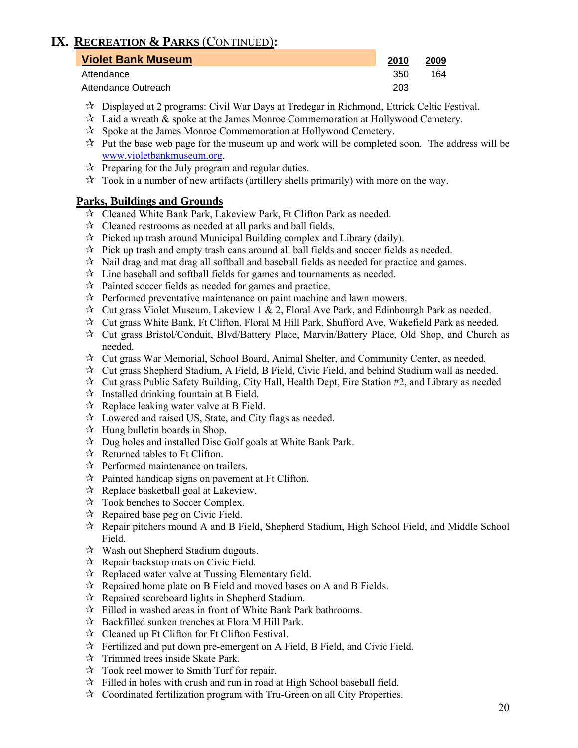# **IX. RECREATION & PARKS** (CONTINUED)**:**

| <b>Violet Bank Museum</b> |     | 2009 |
|---------------------------|-----|------|
| Attendance                | 350 | 164  |
| Attendance Outreach       | 203 |      |

- $\star$  Displayed at 2 programs: Civil War Days at Tredegar in Richmond, Ettrick Celtic Festival.
- $\mathcal{R}$  Laid a wreath  $\&$  spoke at the James Monroe Commemoration at Hollywood Cemetery.
- $\mathcal{R}$  Spoke at the James Monroe Commemoration at Hollywood Cemetery.
- $\mathcal{R}$  Put the base web page for the museum up and work will be completed soon. The address will be www.violetbankmuseum.org.
- $\mathcal{R}$  Preparing for the July program and regular duties.
- $\star$  Took in a number of new artifacts (artillery shells primarily) with more on the way.

#### **Parks, Buildings and Grounds**

- Cleaned White Bank Park, Lakeview Park, Ft Clifton Park as needed.
- $\mathcal{R}$  Cleaned restrooms as needed at all parks and ball fields.
- $\hat{x}$  Picked up trash around Municipal Building complex and Library (daily).
- $\mathcal{R}$  Pick up trash and empty trash cans around all ball fields and soccer fields as needed.
- $\mathcal{R}$  Nail drag and mat drag all softball and baseball fields as needed for practice and games.
- $\mathbf{\hat{x}}$  Line baseball and softball fields for games and tournaments as needed.
- $\mathcal{R}$  Painted soccer fields as needed for games and practice.
- $\mathcal{R}$  Performed preventative maintenance on paint machine and lawn mowers.
- $\mathcal{R}$  Cut grass Violet Museum, Lakeview 1 & 2, Floral Ave Park, and Edinbourgh Park as needed.
- Cut grass White Bank, Ft Clifton, Floral M Hill Park, Shufford Ave, Wakefield Park as needed.
- Cut grass Bristol/Conduit, Blvd/Battery Place, Marvin/Battery Place, Old Shop, and Church as needed.
- $\star$  Cut grass War Memorial, School Board, Animal Shelter, and Community Center, as needed.
- $\star$  Cut grass Shepherd Stadium, A Field, B Field, Civic Field, and behind Stadium wall as needed.
- $\star$  Cut grass Public Safety Building, City Hall, Health Dept, Fire Station #2, and Library as needed
- $\mathcal{R}$  Installed drinking fountain at B Field.
- $\mathcal{R}$  Replace leaking water valve at B Field.
- Lowered and raised US, State, and City flags as needed.
- $\forall$  Hung bulletin boards in Shop.
- $\mathcal{R}$  Dug holes and installed Disc Golf goals at White Bank Park.
- $\mathcal{R}$  Returned tables to Ft Clifton.
- $\mathcal{R}$  Performed maintenance on trailers.
- $\mathcal{R}$  Painted handicap signs on pavement at Ft Clifton.
- $\mathcal{R}$  Replace basketball goal at Lakeview.
- Took benches to Soccer Complex.
- $\mathcal{R}$  Repaired base peg on Civic Field.
- $\mathcal{R}$  Repair pitchers mound A and B Field, Shepherd Stadium, High School Field, and Middle School Field.
- $\mathcal{R}$  Wash out Shepherd Stadium dugouts.
- $\mathcal{R}$  Repair backstop mats on Civic Field.
- $\mathcal{R}$  Replaced water valve at Tussing Elementary field.
- $\mathcal{R}$  Repaired home plate on B Field and moved bases on A and B Fields.
- $\mathcal{R}$  Repaired scoreboard lights in Shepherd Stadium.
- $\hat{x}$  Filled in washed areas in front of White Bank Park bathrooms.
- $\mathcal{R}$  Backfilled sunken trenches at Flora M Hill Park.
- Cleaned up Ft Clifton for Ft Clifton Festival.
- $\mathcal{F}$  Fertilized and put down pre-emergent on A Field, B Field, and Civic Field.
- $\mathbf{\hat{x}}$  Trimmed trees inside Skate Park.
- Took reel mower to Smith Turf for repair.
- $\hat{x}$  Filled in holes with crush and run in road at High School baseball field.
- $\mathcal{R}$  Coordinated fertilization program with Tru-Green on all City Properties.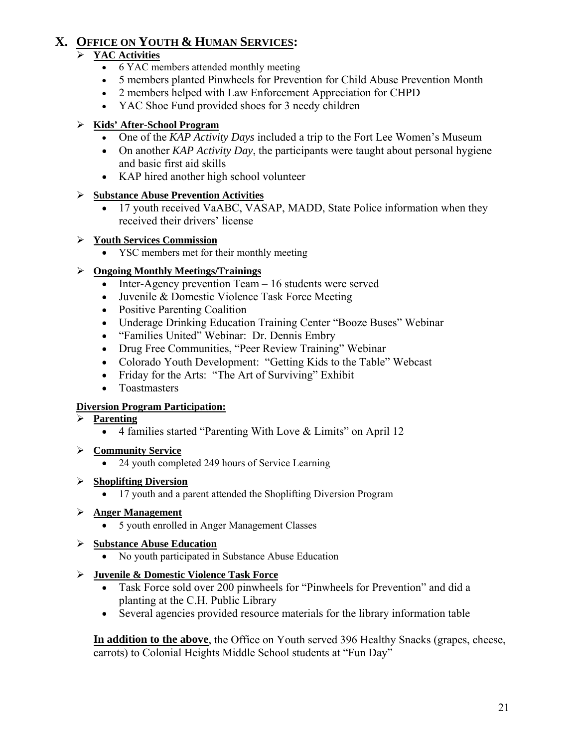# **X. OFFICE ON YOUTH & HUMAN SERVICES:**

### ¾ **YAC Activities**

- 6 YAC members attended monthly meeting
- 5 members planted Pinwheels for Prevention for Child Abuse Prevention Month
- 2 members helped with Law Enforcement Appreciation for CHPD
- YAC Shoe Fund provided shoes for 3 needy children

### ¾ **Kids' After-School Program**

- One of the *KAP Activity Days* included a trip to the Fort Lee Women's Museum
- On another *KAP Activity Day*, the participants were taught about personal hygiene and basic first aid skills
- KAP hired another high school volunteer

### ¾ **Substance Abuse Prevention Activities**

- 17 youth received VaABC, VASAP, MADD, State Police information when they received their drivers' license
- ¾ **Youth Services Commission**
	- YSC members met for their monthly meeting

### ¾ **Ongoing Monthly Meetings/Trainings**

- Inter-Agency prevention Team 16 students were served
- Juvenile & Domestic Violence Task Force Meeting
- Positive Parenting Coalition
- Underage Drinking Education Training Center "Booze Buses" Webinar
- "Families United" Webinar: Dr. Dennis Embry
- Drug Free Communities, "Peer Review Training" Webinar
- Colorado Youth Development: "Getting Kids to the Table" Webcast
- Friday for the Arts: "The Art of Surviving" Exhibit
- Toastmasters

### **Diversion Program Participation:**

### ¾ **Parenting**

• 4 families started "Parenting With Love & Limits" on April 12

### ¾ **Community Service**

• 24 youth completed 249 hours of Service Learning

### ¾ **Shoplifting Diversion**

• 17 youth and a parent attended the Shoplifting Diversion Program

### ¾ **Anger Management**

• 5 youth enrolled in Anger Management Classes

### ¾ **Substance Abuse Education**

• No youth participated in Substance Abuse Education

### ¾ **Juvenile & Domestic Violence Task Force**

- Task Force sold over 200 pinwheels for "Pinwheels for Prevention" and did a planting at the C.H. Public Library
- Several agencies provided resource materials for the library information table

 **In addition to the above**, the Office on Youth served 396 Healthy Snacks (grapes, cheese, carrots) to Colonial Heights Middle School students at "Fun Day"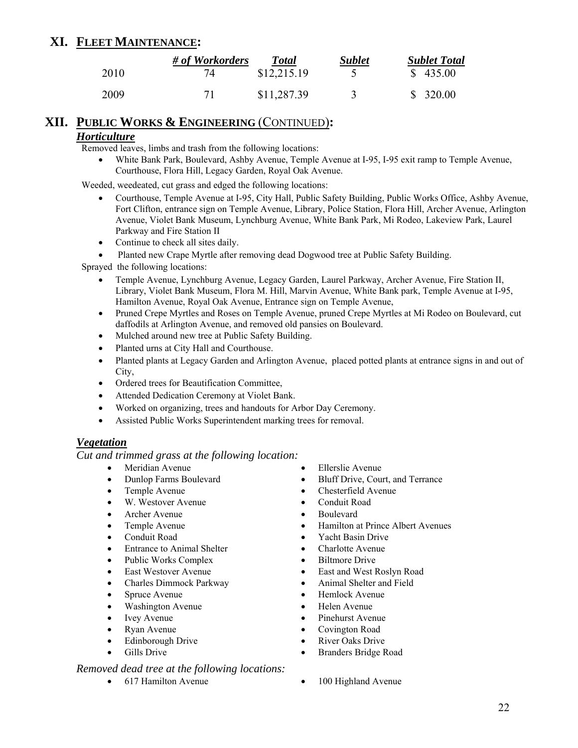### **XI. FLEET MAINTENANCE:**

|      | # of Workorders | <b>Total</b> | <b>Sublet</b> | <b>Sublet Total</b> |
|------|-----------------|--------------|---------------|---------------------|
| 2010 | 74              | \$12,215.19  |               | \$435.00            |
| 2009 |                 | \$11,287.39  |               | \$320.00            |

#### **XII. PUBLIC WORKS & ENGINEERING** (CONTINUED)**:**

#### *Horticulture*

Removed leaves, limbs and trash from the following locations:

• White Bank Park, Boulevard, Ashby Avenue, Temple Avenue at I-95, I-95 exit ramp to Temple Avenue, Courthouse, Flora Hill, Legacy Garden, Royal Oak Avenue.

Weeded, weedeated, cut grass and edged the following locations:

- Courthouse, Temple Avenue at I-95, City Hall, Public Safety Building, Public Works Office, Ashby Avenue, Fort Clifton, entrance sign on Temple Avenue, Library, Police Station, Flora Hill, Archer Avenue, Arlington Avenue, Violet Bank Museum, Lynchburg Avenue, White Bank Park, Mi Rodeo, Lakeview Park, Laurel Parkway and Fire Station II
- Continue to check all sites daily.
- Planted new Crape Myrtle after removing dead Dogwood tree at Public Safety Building.

Sprayed the following locations:

- Temple Avenue, Lynchburg Avenue, Legacy Garden, Laurel Parkway, Archer Avenue, Fire Station II, Library, Violet Bank Museum, Flora M. Hill, Marvin Avenue, White Bank park, Temple Avenue at I-95, Hamilton Avenue, Royal Oak Avenue, Entrance sign on Temple Avenue,
- Pruned Crepe Myrtles and Roses on Temple Avenue, pruned Crepe Myrtles at Mi Rodeo on Boulevard, cut daffodils at Arlington Avenue, and removed old pansies on Boulevard.
- Mulched around new tree at Public Safety Building.
- Planted urns at City Hall and Courthouse.
- Planted plants at Legacy Garden and Arlington Avenue, placed potted plants at entrance signs in and out of City,
- Ordered trees for Beautification Committee,
- Attended Dedication Ceremony at Violet Bank.
- Worked on organizing, trees and handouts for Arbor Day Ceremony.
- Assisted Public Works Superintendent marking trees for removal.

#### *Vegetation*

*Cut and trimmed grass at the following location:* 

- Meridian Avenue Ellerslie Avenue
- 
- 
- W. Westover Avenue Conduit Road
- Archer Avenue Boulevard
- 
- 
- Entrance to Animal Shelter Charlotte Avenue
- Public Works Complex Biltmore Drive
- 
- Charles Dimmock Parkway Animal Shelter and Field
- 
- Washington Avenue Helen Avenue
- 
- 
- 
- 

#### *Removed dead tree at the following locations:*

- 
- Dunlop Farms Boulevard Bluff Drive, Court, and Terrance
- Temple Avenue Chesterfield Avenue
	-
	-
- Temple Avenue Hamilton at Prince Albert Avenues
- Conduit Road Yacht Basin Drive
	-
	-
- East Westover Avenue East and West Roslyn Road
	-
- Spruce Avenue Hemlock Avenue
	-
	- Ivey Avenue Pinehurst Avenue
- Ryan Avenue Covington Road
	- Edinborough Drive River Oaks Drive
	- Gills Drive Branders Bridge Road
- 617 Hamilton Avenue 100 Highland Avenue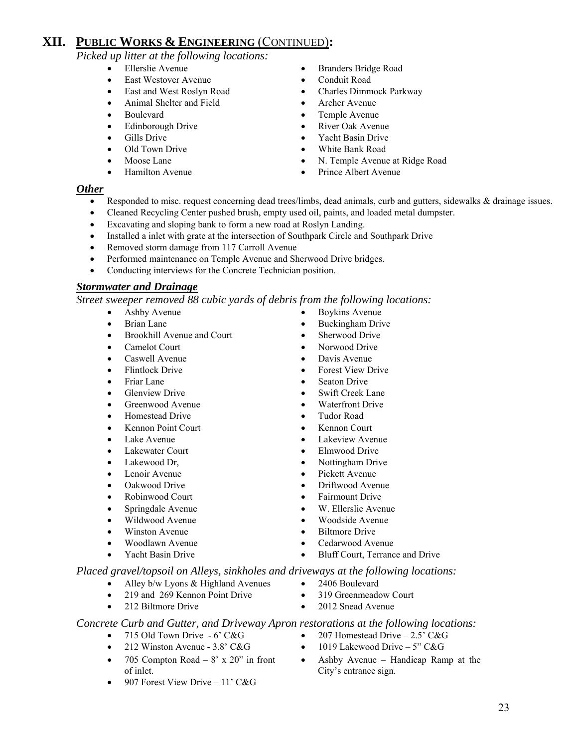*Picked up litter at the following locations:* 

- 
- East Westover Avenue Conduit Road
- 
- Animal Shelter and Field Archer Avenue
- 
- Edinborough Drive River Oak Avenue
- 
- 
- 
- 
- Ellerslie Avenue Branders Bridge Road
	-
- East and West Roslyn Road Charles Dimmock Parkway
	-
- Boulevard Temple Avenue
	-
- Gills Drive Yacht Basin Drive
- Old Town Drive **•** White Bank Road
- Moose Lane N. Temple Avenue at Ridge Road
	- Hamilton Avenue Prince Albert Avenue

#### *Other*

- Responded to misc. request concerning dead trees/limbs, dead animals, curb and gutters, sidewalks & drainage issues.
- Cleaned Recycling Center pushed brush, empty used oil, paints, and loaded metal dumpster.
- Excavating and sloping bank to form a new road at Roslyn Landing.
- Installed a inlet with grate at the intersection of Southpark Circle and Southpark Drive
- Removed storm damage from 117 Carroll Avenue
- Performed maintenance on Temple Avenue and Sherwood Drive bridges.
- Conducting interviews for the Concrete Technician position.

#### *Stormwater and Drainage*

*Street sweeper removed 88 cubic yards of debris from the following locations:* 

- Ashby Avenue Boykins Avenue
- 
- Brookhill Avenue and Court Sherwood Drive
- Camelot Court Norwood Drive
- Caswell Avenue Davis Avenue
- 
- 
- Glenview Drive Swift Creek Lane
- Greenwood Avenue Waterfront Drive
- Homestead Drive Tudor Road
- Kennon Point Court Kennon Court
- 
- 
- 
- 
- 
- Robinwood Court Fairmount Drive
- 
- Wildwood Avenue Woodside Avenue
- 
- 
- -
- Alley b/w Lyons & Highland Avenues 2406 Boulevard
- 
- 

*Concrete Curb and Gutter, and Driveway Apron restorations at the following locations:* 

- 715 Old Town Drive 6' C&G 207 Homestead Drive 2.5' C&G
- 212 Winston Avenue 3.8' C&G 1019 Lakewood Drive 5" C&G
- 705 Compton Road  $8' \times 20''$  in front of inlet.
- 907 Forest View Drive 11' C&G
- Brian Lane Buckingham Drive
	-
	-
	-
- Flintlock Drive Forest View Drive
- Friar Lane Seaton Drive
	-
	-
	-
- Lake Avenue Lakeview Avenue
- Lakewater Court Elmwood Drive
- Lakewood Dr, Nottingham Drive
- Lenoir Avenue Pickett Avenue
- Oakwood Drive Driftwood Avenue
	-
- Springdale Avenue W. Ellerslie Avenue
	-
- Winston Avenue Biltmore Drive
- Woodlawn Avenue Cedarwood Avenue
	- Yacht Basin Drive Bluff Court, Terrance and Drive
- *Placed gravel/topsoil on Alleys, sinkholes and driveways at the following locations:* 
	-
	- 219 and 269 Kennon Point Drive 319 Greenmeadow Court
	- 212 Biltmore Drive 2012 Snead Avenue

- 
- 
- Ashby Avenue Handicap Ramp at the City's entrance sign.
- 
- 
- 
- 
- 
- 
-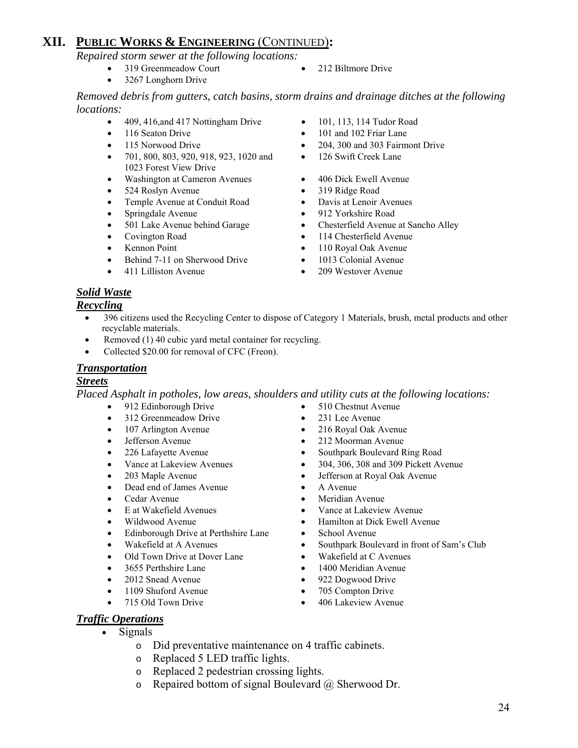*Repaired storm sewer at the following locations:* 

- 319 Greenmeadow Court 212 Biltmore Drive
- 3267 Longhorn Drive

*Removed debris from gutters, catch basins, storm drains and drainage ditches at the following locations:* 

- 409, 416, and 417 Nottingham Drive 101, 113, 114 Tudor Road
- 
- 
- 701, 800, 803, 920, 918, 923, 1020 and 1023 Forest View Drive
- Washington at Cameron Avenues 406 Dick Ewell Avenue
- 524 Roslyn Avenue 319 Ridge Road
- Temple Avenue at Conduit Road Davis at Lenoir Avenues
- 
- Springdale Avenue 912 Yorkshire Road<br>• 501 Lake Avenue behind Garage Chesterfield Avenue
- 
- 
- Behind 7-11 on Sherwood Drive 1013 Colonial Avenue
- 
- 
- 116 Seaton Drive 101 and 102 Friar Lane
- 115 Norwood Drive 204, 300 and 303 Fairmont Drive
	- 126 Swift Creek Lane
	-
	-
	-
	-
- 501 Lake Avenue behind Garage Chesterfield Avenue at Sancho Alley
- Covington Road 114 Chesterfield Avenue
- Kennon Point 110 Royal Oak Avenue
	-
- 411 Lilliston Avenue 209 Westover Avenue

### *Solid Waste*

#### *Recycling*

- 396 citizens used the Recycling Center to dispose of Category 1 Materials, brush, metal products and other recyclable materials.
- Removed (1) 40 cubic yard metal container for recycling.
- Collected \$20.00 for removal of CFC (Freon).

#### *Transportation*

#### *Streets*

*Placed Asphalt in potholes, low areas, shoulders and utility cuts at the following locations:* 

- 912 Edinborough Drive 510 Chestnut Avenue
- 312 Greenmeadow Drive 231 Lee Avenue
- 107 Arlington Avenue 216 Royal Oak Avenue
- 
- 
- 
- 
- Dead end of James Avenue A Avenue
- 
- 
- 
- Edinborough Drive at Perthshire Lane School Avenue
- 
- Old Town Drive at Dover Lane Wakefield at C Avenues
- 
- 2012 Snead Avenue 922 Dogwood Drive
- 1109 Shuford Avenue 705 Compton Drive
- 715 Old Town Drive 406 Lakeview Avenue
- *Traffic Operations*
	- Signals
		- o Did preventative maintenance on 4 traffic cabinets.
		- o Replaced 5 LED traffic lights.
		- o Replaced 2 pedestrian crossing lights.
		- $\circ$  Repaired bottom of signal Boulevard  $\omega$  Sherwood Dr.
- 
- 
- Jefferson Avenue 212 Moorman Avenue
- 226 Lafayette Avenue Southpark Boulevard Ring Road
- Vance at Lakeview Avenues 304, 306, 308 and 309 Pickett Avenue
- 203 Maple Avenue Jefferson at Royal Oak Avenue Jefferson at Royal Oak Avenue
	-
- Cedar Avenue Meridian Avenue
- E at Wakefield Avenues Vance at Lakeview Avenue
- Wildwood Avenue Hamilton at Dick Ewell Avenue
	-
- Wakefield at A Avenues Southpark Boulevard in front of Sam's Club
	-
- 3655 Perthshire Lane 1400 Meridian Avenue
	-
	-
	-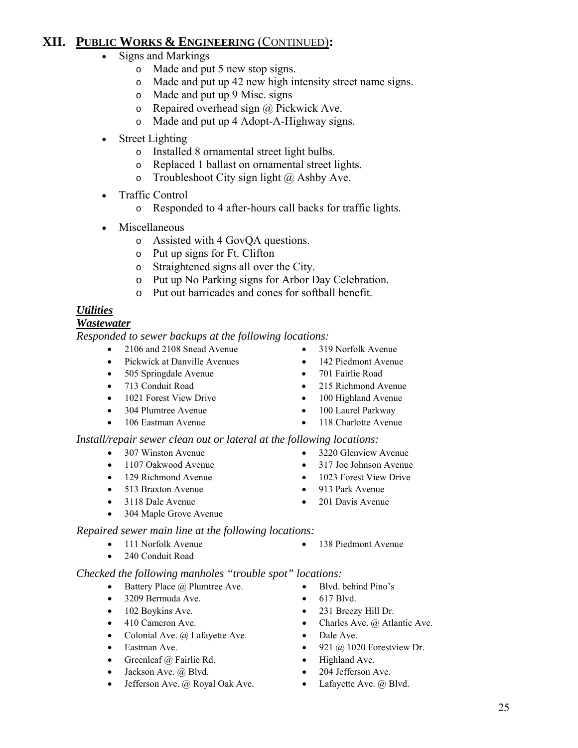- Signs and Markings
	- o Made and put 5 new stop signs.
	- o Made and put up 42 new high intensity street name signs.
	- o Made and put up 9 Misc. signs
	- $\circ$  Repaired overhead sign  $\omega$  Pickwick Ave.
	- o Made and put up 4 Adopt-A-Highway signs.
- Street Lighting
	- o Installed 8 ornamental street light bulbs.
	- o Replaced 1 ballast on ornamental street lights.
	- o Troubleshoot City sign light  $\omega$  Ashby Ave.
- Traffic Control
	- o Responded to 4 after-hours call backs for traffic lights.
- Miscellaneous
	- o Assisted with 4 GovQA questions.
	- o Put up signs for Ft. Clifton
	- o Straightened signs all over the City.
	- o Put up No Parking signs for Arbor Day Celebration.
	- o Put out barricades and cones for softball benefit.

# *Utilities*

### *Wastewater*

*Responded to sewer backups at the following locations:*

- 2106 and 2108 Snead Avenue 319 Norfolk Avenue
- Pickwick at Danville Avenues 142 Piedmont Avenue
- 505 Springdale Avenue 701 Fairlie Road
- 
- 1021 Forest View Drive 100 Highland Avenue
- 304 Plumtree Avenue 100 Laurel Parkway
- 106 Eastman Avenue 118 Charlotte Avenue

### *Install/repair sewer clean out or lateral at the following locations:*

- 
- 1107 Oakwood Avenue 317 Joe Johnson Avenue
- 
- 
- 3118 Dale Avenue 201 Davis Avenue
- 304 Maple Grove Avenue

### *Repaired sewer main line at the following locations:*

- 
- 240 Conduit Road

### *Checked the following manholes "trouble spot" locations:*

- Battery Place @ Plumtree Ave. Blvd. behind Pino's
- 3209 Bermuda Ave. 617 Blvd.
- 
- 
- Colonial Ave. @ Lafayette Ave. Dale Ave.
- 
- Greenleaf @ Fairlie Rd. Highland Ave.
- Jackson Ave. @ Blvd. 204 Jefferson Ave.
- Jefferson Ave. @ Royal Oak Ave. Lafayette Ave. @ Blvd.
- 
- 
- 
- 713 Conduit Road 215 Richmond Avenue
	-
	-
	-
- 307 Winston Avenue 3220 Glenview Avenue
	-
- 129 Richmond Avenue 1023 Forest View Drive
	-
	-
- 111 Norfolk Avenue 138 Piedmont Avenue
	-
	-
- 102 Boykins Ave. 231 Breezy Hill Dr.
- 410 Cameron Ave. Charles Ave. @ Atlantic Ave.
	-
- Eastman Ave. 921 @ 1020 Forestview Dr.
	-
	-
	-
- -
	-
	-
- 513 Braxton Avenue 913 Park Avenue
	-
- -
	-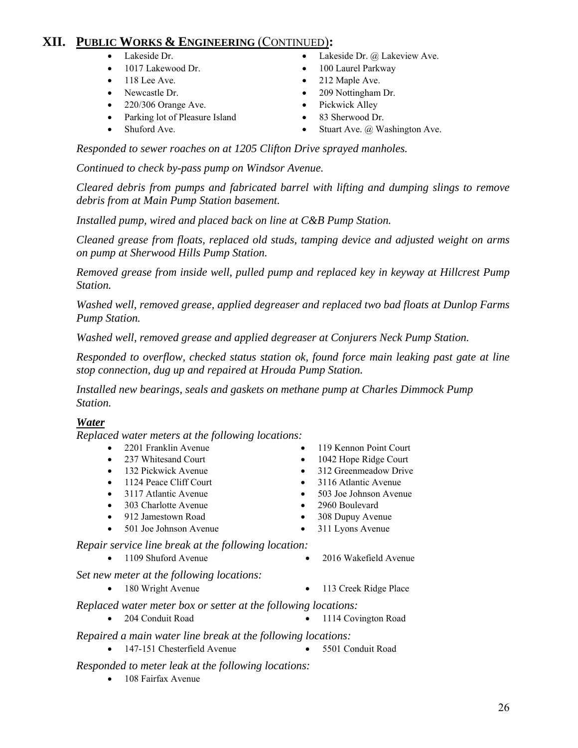- 
- 1017 Lakewood Dr. 100 Laurel Parkway
- 
- 
- 220/306 Orange Ave. Pickwick Alley
- Parking lot of Pleasure Island 83 Sherwood Dr.
- 
- Lakeside Dr. Lakeside Dr. @ Lakeview Ave.
	-
- 118 Lee Ave. 212 Maple Ave.
- Newcastle Dr. 209 Nottingham Dr.
	-
	-
	- Stuart Ave. @ Washington Ave.

 *Responded to sewer roaches on at 1205 Clifton Drive sprayed manholes.* 

 *Continued to check by-pass pump on Windsor Avenue.* 

 *Cleared debris from pumps and fabricated barrel with lifting and dumping slings to remove debris from at Main Pump Station basement.* 

 *Installed pump, wired and placed back on line at C&B Pump Station.* 

 *Cleaned grease from floats, replaced old studs, tamping device and adjusted weight on arms on pump at Sherwood Hills Pump Station.* 

 *Removed grease from inside well, pulled pump and replaced key in keyway at Hillcrest Pump Station.* 

 *Washed well, removed grease, applied degreaser and replaced two bad floats at Dunlop Farms Pump Station.* 

 *Washed well, removed grease and applied degreaser at Conjurers Neck Pump Station.* 

 *Responded to overflow, checked status station ok, found force main leaking past gate at line stop connection, dug up and repaired at Hrouda Pump Station.* 

*Installed new bearings, seals and gaskets on methane pump at Charles Dimmock Pump Station.* 

#### *Water*

*Replaced water meters at the following locations:* 

- 
- 
- 
- 
- 
- 303 Charlotte Avenue 2960 Boulevard
- 
- 501 Joe Johnson Avenue 311 Lyons Avenue

 *Repair service line break at the following location:* 

 *Set new meter at the following locations:* 

- 
- *Replaced water meter box or setter at the following locations:* 
	- 204 Conduit Road 1114 Covington Road

 *Repaired a main water line break at the following locations:* 

• 147-151 Chesterfield Avenue • 5501 Conduit Road

#### *Responded to meter leak at the following locations:*

• 108 Fairfax Avenue

- 2201 Franklin Avenue 119 Kennon Point Court
- 237 Whitesand Court 1042 Hope Ridge Court
- 132 Pickwick Avenue 312 Greenmeadow Drive
- 1124 Peace Cliff Court 3116 Atlantic Avenue
- 3117 Atlantic Avenue 503 Joe Johnson Avenue
	-
- 912 Jamestown Road 308 Dupuy Avenue
	-
- 1109 Shuford Avenue 2016 Wakefield Avenue
- 180 Wright Avenue 113 Creek Ridge Place
	-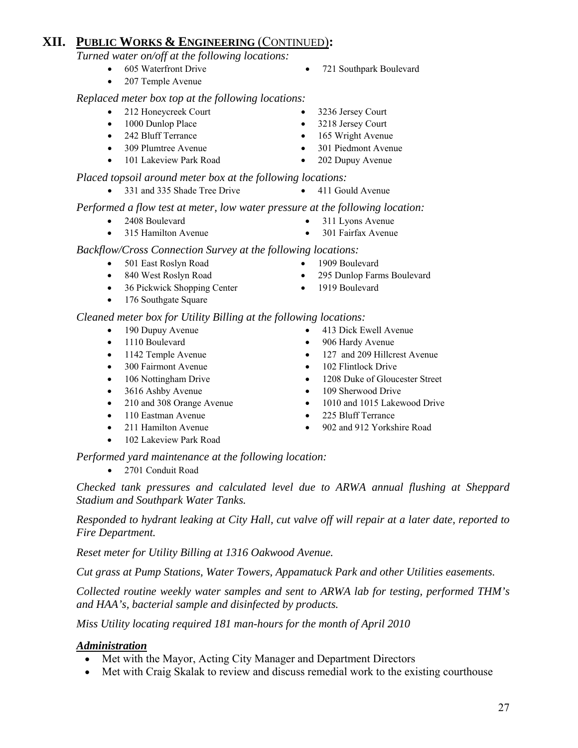*Turned water on/off at the following locations:*

- 
- 207 Temple Avenue

#### *Replaced meter box top at the following locations:*

- 212 Honeycreek Court 3236 Jersey Court
- 
- 
- 
- 101 Lakeview Park Road 202 Dupuy Avenue

#### *Placed topsoil around meter box at the following locations:*

• 331 and 335 Shade Tree Drive • 411 Gould Avenue

#### *Performed a flow test at meter, low water pressure at the following location:*

- 2408 Boulevard 311 Lyons Avenue
- 315 Hamilton Avenue 301 Fairfax Avenue

# *Backflow/Cross Connection Survey at the following locations:*

- 501 East Roslyn Road 1909 Boulevard
- 840 West Roslyn Road 295 Dunlop Farms Boulevard
- 36 Pickwick Shopping Center 1919 Boulevard
- 176 Southgate Square

#### *Cleaned meter box for Utility Billing at the following locations:*

- 190 Dupuy Avenue 413 Dick Ewell Avenue
- 
- 
- 300 Fairmont Avenue 102 Flintlock Drive
- 
- 
- 
- 110 Eastman Avenue 225 Bluff Terrance
- 
- 102 Lakeview Park Road
- 1110 Boulevard 906 Hardy Avenue
- 1142 Temple Avenue 127 and 209 Hillcrest Avenue
	-
	- 106 Nottingham Drive 1208 Duke of Gloucester Street
- 3616 Ashby Avenue 109 Sherwood Drive
- 210 and 308 Orange Avenue 1010 and 1015 Lakewood Drive
	-
- 211 Hamilton Avenue 902 and 912 Yorkshire Road

 *Performed yard maintenance at the following location:* 

• 2701 Conduit Road

 *Checked tank pressures and calculated level due to ARWA annual flushing at Sheppard Stadium and Southpark Water Tanks.* 

 *Responded to hydrant leaking at City Hall, cut valve off will repair at a later date, reported to Fire Department.* 

 *Reset meter for Utility Billing at 1316 Oakwood Avenue.* 

 *Cut grass at Pump Stations, Water Towers, Appamatuck Park and other Utilities easements.* 

 *Collected routine weekly water samples and sent to ARWA lab for testing, performed THM's and HAA's, bacterial sample and disinfected by products.* 

 *Miss Utility locating required 181 man-hours for the month of April 2010* 

### *Administration*

- Met with the Mayor, Acting City Manager and Department Directors
- Met with Craig Skalak to review and discuss remedial work to the existing courthouse
	- 27
- 605 Waterfront Drive 721 Southpark Boulevard
	-
- 1000 Dunlop Place 3218 Jersey Court
- 242 Bluff Terrance 165 Wright Avenue
- 309 Plumtree Avenue 301 Piedmont Avenue
	-